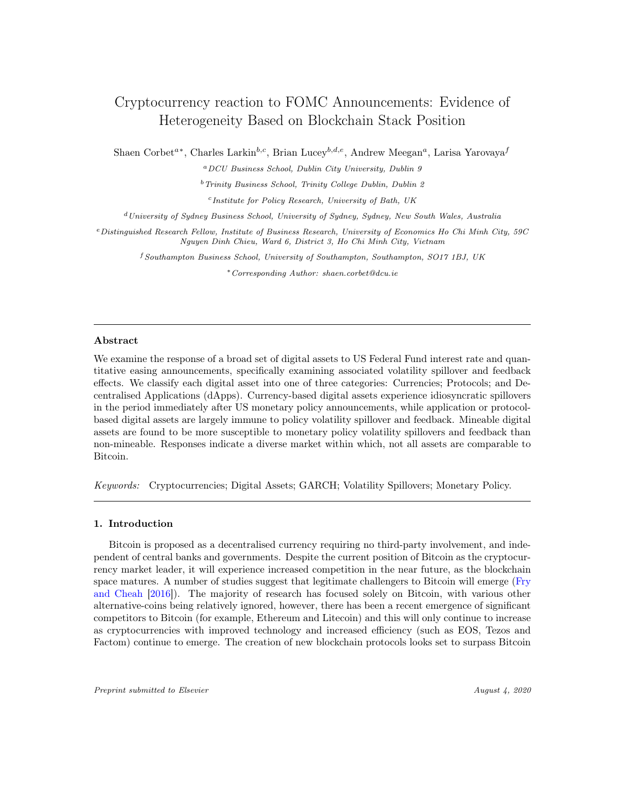# <span id="page-0-0"></span>Cryptocurrency reaction to FOMC Announcements: Evidence of Heterogeneity Based on Blockchain Stack Position

Shaen Corbet<sup>a∗</sup>, Charles Larkin<sup>b,c</sup>, Brian Lucey<sup>b,d,e</sup>, Andrew Meegan<sup>a</sup>, Larisa Yarovaya<sup>f</sup>

<sup>a</sup>DCU Business School, Dublin City University, Dublin 9

 $^b$  Trinity Business School, Trinity College Dublin, Dublin 2

c Institute for Policy Research, University of Bath, UK

<sup>d</sup>University of Sydney Business School, University of Sydney, Sydney, New South Wales, Australia

<sup>e</sup>Distinguished Research Fellow, Institute of Business Research, University of Economics Ho Chi Minh City, 59C Nguyen Dinh Chieu, Ward 6, District 3, Ho Chi Minh City, Vietnam

 $f$ Southampton Business School, University of Southampton, Southampton, SO17 1BJ, UK

<sup>∗</sup>Corresponding Author: shaen.corbet@dcu.ie

#### Abstract

We examine the response of a broad set of digital assets to US Federal Fund interest rate and quantitative easing announcements, specifically examining associated volatility spillover and feedback effects. We classify each digital asset into one of three categories: Currencies; Protocols; and Decentralised Applications (dApps). Currency-based digital assets experience idiosyncratic spillovers in the period immediately after US monetary policy announcements, while application or protocolbased digital assets are largely immune to policy volatility spillover and feedback. Mineable digital assets are found to be more susceptible to monetary policy volatility spillovers and feedback than non-mineable. Responses indicate a diverse market within which, not all assets are comparable to Bitcoin.

Keywords: Cryptocurrencies; Digital Assets; GARCH; Volatility Spillovers; Monetary Policy.

## 1. Introduction

Bitcoin is proposed as a decentralised currency requiring no third-party involvement, and independent of central banks and governments. Despite the current position of Bitcoin as the cryptocurrency market leader, it will experience increased competition in the near future, as the blockchain space matures. A number of studies suggest that legitimate challengers to Bitcoin will emerge [\(Fry](#page-17-0) [and Cheah](#page-17-0) [\[2016\]](#page-17-0)). The majority of research has focused solely on Bitcoin, with various other alternative-coins being relatively ignored, however, there has been a recent emergence of significant competitors to Bitcoin (for example, Ethereum and Litecoin) and this will only continue to increase as cryptocurrencies with improved technology and increased efficiency (such as EOS, Tezos and Factom) continue to emerge. The creation of new blockchain protocols looks set to surpass Bitcoin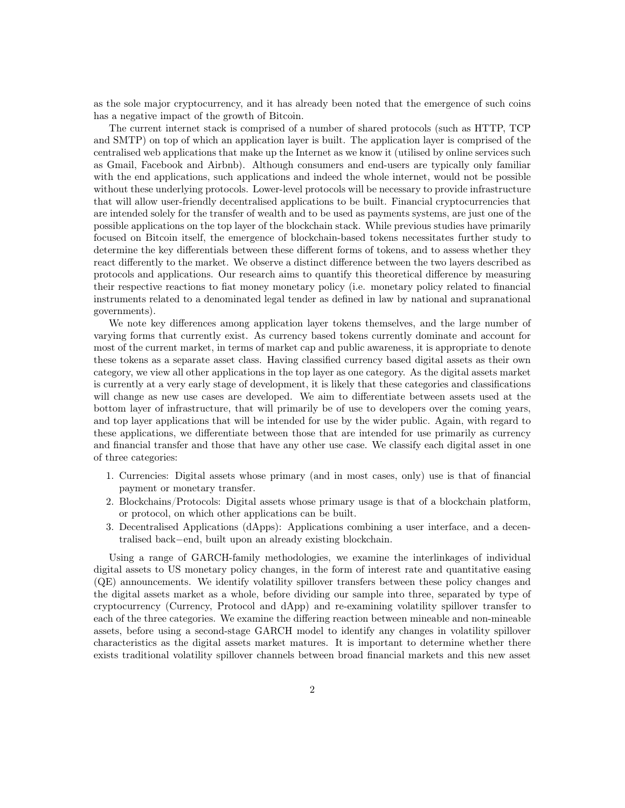as the sole major cryptocurrency, and it has already been noted that the emergence of such coins has a negative impact of the growth of Bitcoin.

The current internet stack is comprised of a number of shared protocols (such as HTTP, TCP and SMTP) on top of which an application layer is built. The application layer is comprised of the centralised web applications that make up the Internet as we know it (utilised by online services such as Gmail, Facebook and Airbnb). Although consumers and end-users are typically only familiar with the end applications, such applications and indeed the whole internet, would not be possible without these underlying protocols. Lower-level protocols will be necessary to provide infrastructure that will allow user-friendly decentralised applications to be built. Financial cryptocurrencies that are intended solely for the transfer of wealth and to be used as payments systems, are just one of the possible applications on the top layer of the blockchain stack. While previous studies have primarily focused on Bitcoin itself, the emergence of blockchain-based tokens necessitates further study to determine the key differentials between these different forms of tokens, and to assess whether they react differently to the market. We observe a distinct difference between the two layers described as protocols and applications. Our research aims to quantify this theoretical difference by measuring their respective reactions to fiat money monetary policy (i.e. monetary policy related to financial instruments related to a denominated legal tender as defined in law by national and supranational governments).

We note key differences among application layer tokens themselves, and the large number of varying forms that currently exist. As currency based tokens currently dominate and account for most of the current market, in terms of market cap and public awareness, it is appropriate to denote these tokens as a separate asset class. Having classified currency based digital assets as their own category, we view all other applications in the top layer as one category. As the digital assets market is currently at a very early stage of development, it is likely that these categories and classifications will change as new use cases are developed. We aim to differentiate between assets used at the bottom layer of infrastructure, that will primarily be of use to developers over the coming years, and top layer applications that will be intended for use by the wider public. Again, with regard to these applications, we differentiate between those that are intended for use primarily as currency and financial transfer and those that have any other use case. We classify each digital asset in one of three categories:

- 1. Currencies: Digital assets whose primary (and in most cases, only) use is that of financial payment or monetary transfer.
- 2. Blockchains/Protocols: Digital assets whose primary usage is that of a blockchain platform, or protocol, on which other applications can be built.
- 3. Decentralised Applications (dApps): Applications combining a user interface, and a decentralised back−end, built upon an already existing blockchain.

Using a range of GARCH-family methodologies, we examine the interlinkages of individual digital assets to US monetary policy changes, in the form of interest rate and quantitative easing (QE) announcements. We identify volatility spillover transfers between these policy changes and the digital assets market as a whole, before dividing our sample into three, separated by type of cryptocurrency (Currency, Protocol and dApp) and re-examining volatility spillover transfer to each of the three categories. We examine the differing reaction between mineable and non-mineable assets, before using a second-stage GARCH model to identify any changes in volatility spillover characteristics as the digital assets market matures. It is important to determine whether there exists traditional volatility spillover channels between broad financial markets and this new asset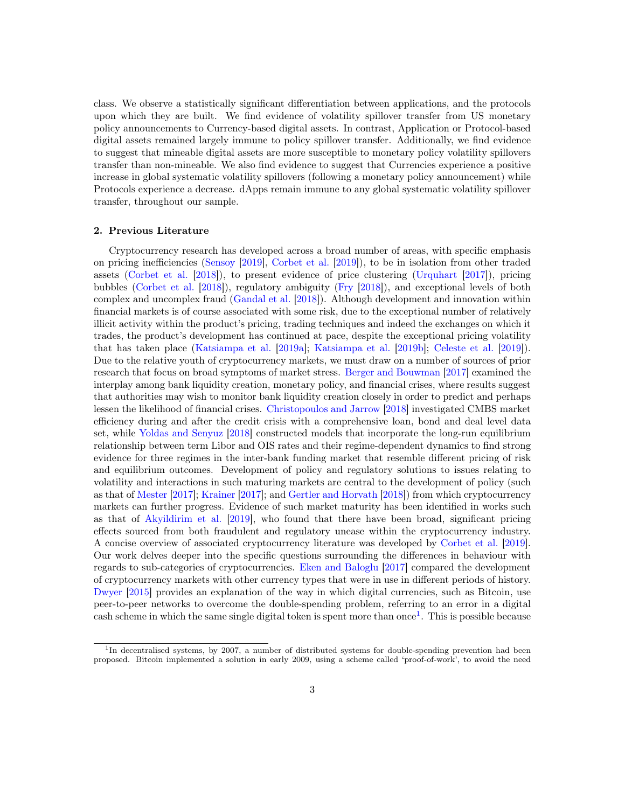class. We observe a statistically significant differentiation between applications, and the protocols upon which they are built. We find evidence of volatility spillover transfer from US monetary policy announcements to Currency-based digital assets. In contrast, Application or Protocol-based digital assets remained largely immune to policy spillover transfer. Additionally, we find evidence to suggest that mineable digital assets are more susceptible to monetary policy volatility spillovers transfer than non-mineable. We also find evidence to suggest that Currencies experience a positive increase in global systematic volatility spillovers (following a monetary policy announcement) while Protocols experience a decrease. dApps remain immune to any global systematic volatility spillover transfer, throughout our sample.

#### 2. Previous Literature

Cryptocurrency research has developed across a broad number of areas, with specific emphasis on pricing inefficiencies [\(Sensoy](#page-17-1) [\[2019\]](#page-17-1), [Corbet et al.](#page-16-0) [\[2019\]](#page-16-0)), to be in isolation from other traded assets [\(Corbet et al.](#page-16-1) [\[2018\]](#page-16-1)), to present evidence of price clustering [\(Urquhart](#page-17-2) [\[2017\]](#page-17-2)), pricing bubbles [\(Corbet et al.](#page-16-2) [\[2018\]](#page-16-2)), regulatory ambiguity [\(Fry](#page-17-3) [\[2018\]](#page-17-3)), and exceptional levels of both complex and uncomplex fraud [\(Gandal et al.](#page-17-4) [\[2018\]](#page-17-4)). Although development and innovation within financial markets is of course associated with some risk, due to the exceptional number of relatively illicit activity within the product's pricing, trading techniques and indeed the exchanges on which it trades, the product's development has continued at pace, despite the exceptional pricing volatility that has taken place [\(Katsiampa et al.](#page-17-5) [\[2019a\]](#page-17-5); [Katsiampa et al.](#page-17-6) [\[2019b\]](#page-17-6); [Celeste et al.](#page-16-3) [\[2019\]](#page-16-3)). Due to the relative youth of cryptocurrency markets, we must draw on a number of sources of prior research that focus on broad symptoms of market stress. [Berger and Bouwman](#page-15-0) [\[2017\]](#page-15-0) examined the interplay among bank liquidity creation, monetary policy, and financial crises, where results suggest that authorities may wish to monitor bank liquidity creation closely in order to predict and perhaps lessen the likelihood of financial crises. [Christopoulos and Jarrow](#page-16-4) [\[2018\]](#page-16-4) investigated CMBS market efficiency during and after the credit crisis with a comprehensive loan, bond and deal level data set, while [Yoldas and Senyuz](#page-18-0) [\[2018\]](#page-18-0) constructed models that incorporate the long-run equilibrium relationship between term Libor and OIS rates and their regime-dependent dynamics to find strong evidence for three regimes in the inter-bank funding market that resemble different pricing of risk and equilibrium outcomes. Development of policy and regulatory solutions to issues relating to volatility and interactions in such maturing markets are central to the development of policy (such as that of [Mester](#page-17-7) [\[2017\]](#page-17-7); [Krainer](#page-17-8) [\[2017\]](#page-17-8); and [Gertler and Horvath](#page-17-9) [\[2018\]](#page-17-9)) from which cryptocurrency markets can further progress. Evidence of such market maturity has been identified in works such as that of [Akyildirim et al.](#page-15-1) [\[2019\]](#page-15-1), who found that there have been broad, significant pricing effects sourced from both fraudulent and regulatory unease within the cryptocurrency industry. A concise overview of associated cryptocurrency literature was developed by [Corbet et al.](#page-16-5) [\[2019\]](#page-16-5). Our work delves deeper into the specific questions surrounding the differences in behaviour with regards to sub-categories of cryptocurrencies. [Eken and Baloglu](#page-16-6) [\[2017\]](#page-16-6) compared the development of cryptocurrency markets with other currency types that were in use in different periods of history. [Dwyer](#page-16-7) [\[2015\]](#page-16-7) provides an explanation of the way in which digital currencies, such as Bitcoin, use peer-to-peer networks to overcome the double-spending problem, referring to an error in a digital cash scheme in which the same single digital token is spent more than once<sup>[1](#page-0-0)</sup>. This is possible because

<sup>&</sup>lt;sup>1</sup>In decentralised systems, by 2007, a number of distributed systems for double-spending prevention had been proposed. Bitcoin implemented a solution in early 2009, using a scheme called 'proof-of-work', to avoid the need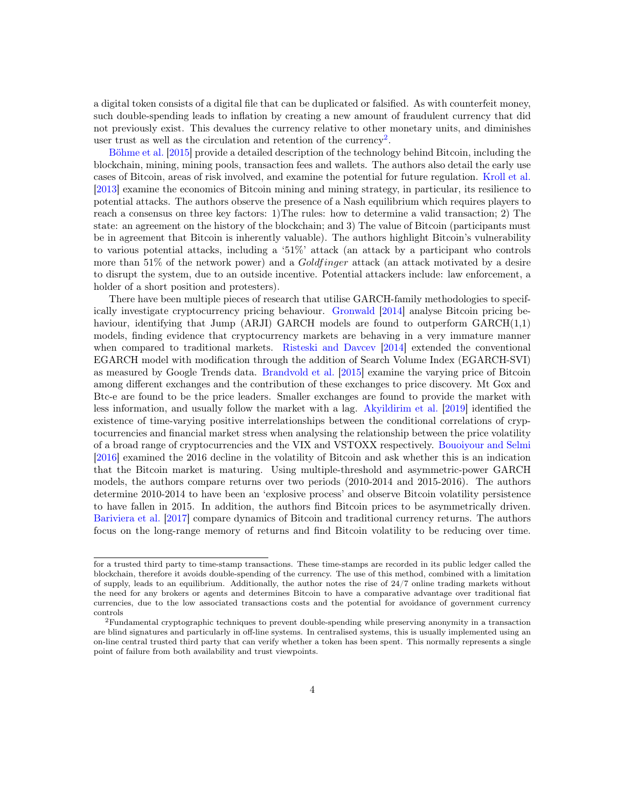a digital token consists of a digital file that can be duplicated or falsified. As with counterfeit money, such double-spending leads to inflation by creating a new amount of fraudulent currency that did not previously exist. This devalues the currency relative to other monetary units, and diminishes user trust as well as the circulation and retention of the currency<sup>[2](#page-0-0)</sup>.

[Böhme et al.](#page-15-2) [\[2015\]](#page-15-2) provide a detailed description of the technology behind Bitcoin, including the blockchain, mining, mining pools, transaction fees and wallets. The authors also detail the early use cases of Bitcoin, areas of risk involved, and examine the potential for future regulation. [Kroll et al.](#page-17-10) [\[2013\]](#page-17-10) examine the economics of Bitcoin mining and mining strategy, in particular, its resilience to potential attacks. The authors observe the presence of a Nash equilibrium which requires players to reach a consensus on three key factors: 1)The rules: how to determine a valid transaction; 2) The state: an agreement on the history of the blockchain; and 3) The value of Bitcoin (participants must be in agreement that Bitcoin is inherently valuable). The authors highlight Bitcoin's vulnerability to various potential attacks, including a '51%' attack (an attack by a participant who controls more than  $51\%$  of the network power) and a *Goldfinger* attack (an attack motivated by a desire to disrupt the system, due to an outside incentive. Potential attackers include: law enforcement, a holder of a short position and protesters).

There have been multiple pieces of research that utilise GARCH-family methodologies to specifically investigate cryptocurrency pricing behaviour. [Gronwald](#page-17-11) [\[2014\]](#page-17-11) analyse Bitcoin pricing behaviour, identifying that Jump  $(ARJI)$  GARCH models are found to outperform  $GARCH(1,1)$ models, finding evidence that cryptocurrency markets are behaving in a very immature manner when compared to traditional markets. [Risteski and Davcev](#page-17-12) [\[2014\]](#page-17-12) extended the conventional EGARCH model with modification through the addition of Search Volume Index (EGARCH-SVI) as measured by Google Trends data. [Brandvold et al.](#page-15-3) [\[2015\]](#page-15-3) examine the varying price of Bitcoin among different exchanges and the contribution of these exchanges to price discovery. Mt Gox and Btc-e are found to be the price leaders. Smaller exchanges are found to provide the market with less information, and usually follow the market with a lag. [Akyildirim et al.](#page-15-4) [\[2019\]](#page-15-4) identified the existence of time-varying positive interrelationships between the conditional correlations of cryptocurrencies and financial market stress when analysing the relationship between the price volatility of a broad range of cryptocurrencies and the VIX and VSTOXX respectively. [Bouoiyour and Selmi](#page-15-5) [\[2016\]](#page-15-5) examined the 2016 decline in the volatility of Bitcoin and ask whether this is an indication that the Bitcoin market is maturing. Using multiple-threshold and asymmetric-power GARCH models, the authors compare returns over two periods (2010-2014 and 2015-2016). The authors determine 2010-2014 to have been an 'explosive process' and observe Bitcoin volatility persistence to have fallen in 2015. In addition, the authors find Bitcoin prices to be asymmetrically driven. [Bariviera et al.](#page-15-6) [\[2017\]](#page-15-6) compare dynamics of Bitcoin and traditional currency returns. The authors focus on the long-range memory of returns and find Bitcoin volatility to be reducing over time.

for a trusted third party to time-stamp transactions. These time-stamps are recorded in its public ledger called the blockchain, therefore it avoids double-spending of the currency. The use of this method, combined with a limitation of supply, leads to an equilibrium. Additionally, the author notes the rise of 24/7 online trading markets without the need for any brokers or agents and determines Bitcoin to have a comparative advantage over traditional fiat currencies, due to the low associated transactions costs and the potential for avoidance of government currency controls

<sup>2</sup>Fundamental cryptographic techniques to prevent double-spending while preserving anonymity in a transaction are blind signatures and particularly in off-line systems. In centralised systems, this is usually implemented using an on-line central trusted third party that can verify whether a token has been spent. This normally represents a single point of failure from both availability and trust viewpoints.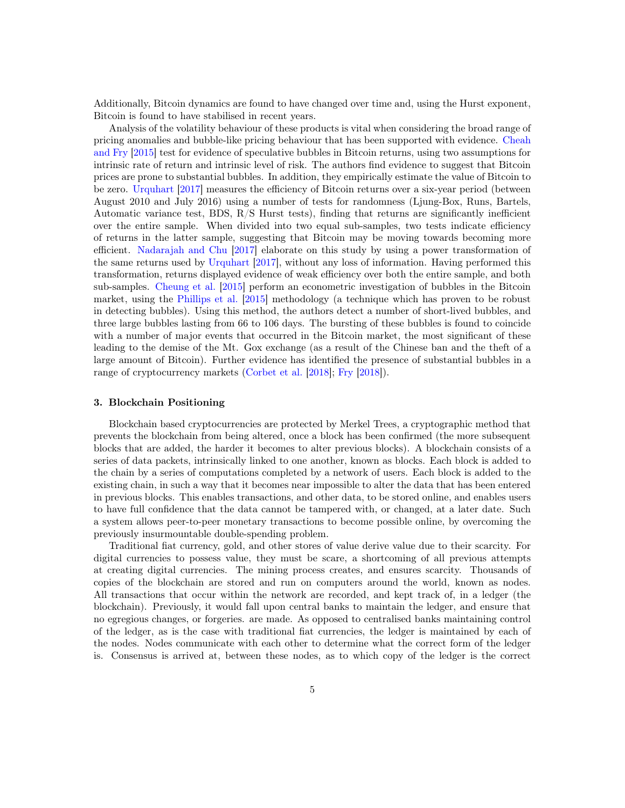Additionally, Bitcoin dynamics are found to have changed over time and, using the Hurst exponent, Bitcoin is found to have stabilised in recent years.

Analysis of the volatility behaviour of these products is vital when considering the broad range of pricing anomalies and bubble-like pricing behaviour that has been supported with evidence. [Cheah](#page-16-8) [and Fry](#page-16-8) [\[2015\]](#page-16-8) test for evidence of speculative bubbles in Bitcoin returns, using two assumptions for intrinsic rate of return and intrinsic level of risk. The authors find evidence to suggest that Bitcoin prices are prone to substantial bubbles. In addition, they empirically estimate the value of Bitcoin to be zero. [Urquhart](#page-17-2) [\[2017\]](#page-17-2) measures the efficiency of Bitcoin returns over a six-year period (between August 2010 and July 2016) using a number of tests for randomness (Ljung-Box, Runs, Bartels, Automatic variance test, BDS, R/S Hurst tests), finding that returns are significantly inefficient over the entire sample. When divided into two equal sub-samples, two tests indicate efficiency of returns in the latter sample, suggesting that Bitcoin may be moving towards becoming more efficient. [Nadarajah and Chu](#page-17-13) [\[2017\]](#page-17-13) elaborate on this study by using a power transformation of the same returns used by [Urquhart](#page-17-2) [\[2017\]](#page-17-2), without any loss of information. Having performed this transformation, returns displayed evidence of weak efficiency over both the entire sample, and both sub-samples. [Cheung et al.](#page-16-9) [\[2015\]](#page-16-9) perform an econometric investigation of bubbles in the Bitcoin market, using the [Phillips et al.](#page-17-14) [\[2015\]](#page-17-14) methodology (a technique which has proven to be robust in detecting bubbles). Using this method, the authors detect a number of short-lived bubbles, and three large bubbles lasting from 66 to 106 days. The bursting of these bubbles is found to coincide with a number of major events that occurred in the Bitcoin market, the most significant of these leading to the demise of the Mt. Gox exchange (as a result of the Chinese ban and the theft of a large amount of Bitcoin). Further evidence has identified the presence of substantial bubbles in a range of cryptocurrency markets [\(Corbet et al.](#page-16-2) [\[2018\]](#page-16-2); [Fry](#page-17-3) [\[2018\]](#page-17-3)).

## 3. Blockchain Positioning

Blockchain based cryptocurrencies are protected by Merkel Trees, a cryptographic method that prevents the blockchain from being altered, once a block has been confirmed (the more subsequent blocks that are added, the harder it becomes to alter previous blocks). A blockchain consists of a series of data packets, intrinsically linked to one another, known as blocks. Each block is added to the chain by a series of computations completed by a network of users. Each block is added to the existing chain, in such a way that it becomes near impossible to alter the data that has been entered in previous blocks. This enables transactions, and other data, to be stored online, and enables users to have full confidence that the data cannot be tampered with, or changed, at a later date. Such a system allows peer-to-peer monetary transactions to become possible online, by overcoming the previously insurmountable double-spending problem.

Traditional fiat currency, gold, and other stores of value derive value due to their scarcity. For digital currencies to possess value, they must be scare, a shortcoming of all previous attempts at creating digital currencies. The mining process creates, and ensures scarcity. Thousands of copies of the blockchain are stored and run on computers around the world, known as nodes. All transactions that occur within the network are recorded, and kept track of, in a ledger (the blockchain). Previously, it would fall upon central banks to maintain the ledger, and ensure that no egregious changes, or forgeries. are made. As opposed to centralised banks maintaining control of the ledger, as is the case with traditional fiat currencies, the ledger is maintained by each of the nodes. Nodes communicate with each other to determine what the correct form of the ledger is. Consensus is arrived at, between these nodes, as to which copy of the ledger is the correct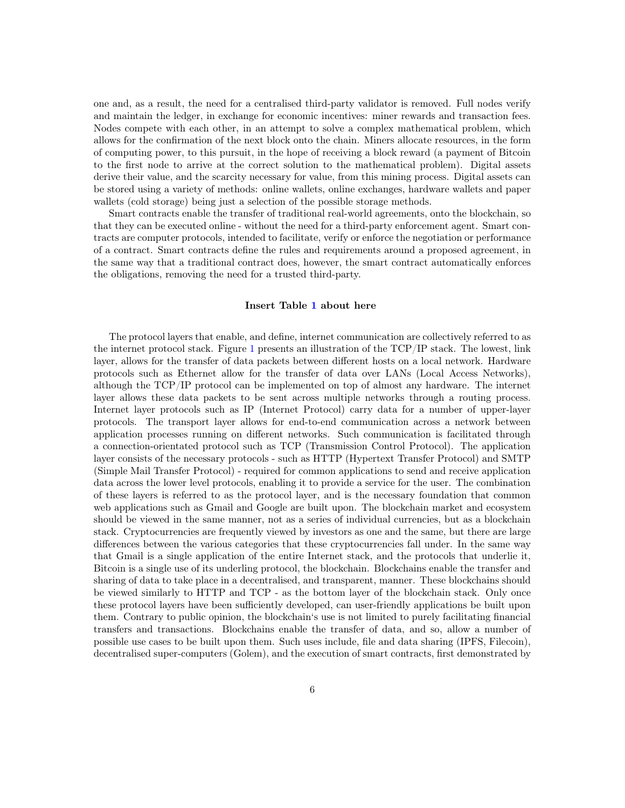one and, as a result, the need for a centralised third-party validator is removed. Full nodes verify and maintain the ledger, in exchange for economic incentives: miner rewards and transaction fees. Nodes compete with each other, in an attempt to solve a complex mathematical problem, which allows for the confirmation of the next block onto the chain. Miners allocate resources, in the form of computing power, to this pursuit, in the hope of receiving a block reward (a payment of Bitcoin to the first node to arrive at the correct solution to the mathematical problem). Digital assets derive their value, and the scarcity necessary for value, from this mining process. Digital assets can be stored using a variety of methods: online wallets, online exchanges, hardware wallets and paper wallets (cold storage) being just a selection of the possible storage methods.

Smart contracts enable the transfer of traditional real-world agreements, onto the blockchain, so that they can be executed online - without the need for a third-party enforcement agent. Smart contracts are computer protocols, intended to facilitate, verify or enforce the negotiation or performance of a contract. Smart contracts define the rules and requirements around a proposed agreement, in the same way that a traditional contract does, however, the smart contract automatically enforces the obligations, removing the need for a trusted third-party.

#### Insert Table [1](#page-19-0) about here

The protocol layers that enable, and define, internet communication are collectively referred to as the internet protocol stack. Figure [1](#page-19-0) presents an illustration of the TCP/IP stack. The lowest, link layer, allows for the transfer of data packets between different hosts on a local network. Hardware protocols such as Ethernet allow for the transfer of data over LANs (Local Access Networks), although the TCP/IP protocol can be implemented on top of almost any hardware. The internet layer allows these data packets to be sent across multiple networks through a routing process. Internet layer protocols such as IP (Internet Protocol) carry data for a number of upper-layer protocols. The transport layer allows for end-to-end communication across a network between application processes running on different networks. Such communication is facilitated through a connection-orientated protocol such as TCP (Transmission Control Protocol). The application layer consists of the necessary protocols - such as HTTP (Hypertext Transfer Protocol) and SMTP (Simple Mail Transfer Protocol) - required for common applications to send and receive application data across the lower level protocols, enabling it to provide a service for the user. The combination of these layers is referred to as the protocol layer, and is the necessary foundation that common web applications such as Gmail and Google are built upon. The blockchain market and ecosystem should be viewed in the same manner, not as a series of individual currencies, but as a blockchain stack. Cryptocurrencies are frequently viewed by investors as one and the same, but there are large differences between the various categories that these cryptocurrencies fall under. In the same way that Gmail is a single application of the entire Internet stack, and the protocols that underlie it, Bitcoin is a single use of its underling protocol, the blockchain. Blockchains enable the transfer and sharing of data to take place in a decentralised, and transparent, manner. These blockchains should be viewed similarly to HTTP and TCP - as the bottom layer of the blockchain stack. Only once these protocol layers have been sufficiently developed, can user-friendly applications be built upon them. Contrary to public opinion, the blockchain's use is not limited to purely facilitating financial transfers and transactions. Blockchains enable the transfer of data, and so, allow a number of possible use cases to be built upon them. Such uses include, file and data sharing (IPFS, Filecoin), decentralised super-computers (Golem), and the execution of smart contracts, first demonstrated by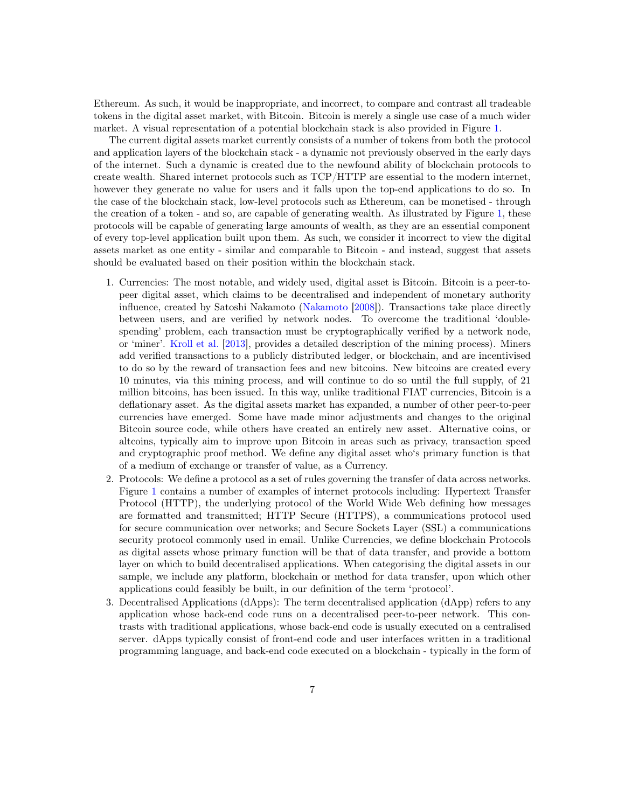Ethereum. As such, it would be inappropriate, and incorrect, to compare and contrast all tradeable tokens in the digital asset market, with Bitcoin. Bitcoin is merely a single use case of a much wider market. A visual representation of a potential blockchain stack is also provided in Figure [1.](#page-19-0)

The current digital assets market currently consists of a number of tokens from both the protocol and application layers of the blockchain stack - a dynamic not previously observed in the early days of the internet. Such a dynamic is created due to the newfound ability of blockchain protocols to create wealth. Shared internet protocols such as TCP/HTTP are essential to the modern internet, however they generate no value for users and it falls upon the top-end applications to do so. In the case of the blockchain stack, low-level protocols such as Ethereum, can be monetised - through the creation of a token - and so, are capable of generating wealth. As illustrated by Figure [1,](#page-19-0) these protocols will be capable of generating large amounts of wealth, as they are an essential component of every top-level application built upon them. As such, we consider it incorrect to view the digital assets market as one entity - similar and comparable to Bitcoin - and instead, suggest that assets should be evaluated based on their position within the blockchain stack.

- 1. Currencies: The most notable, and widely used, digital asset is Bitcoin. Bitcoin is a peer-topeer digital asset, which claims to be decentralised and independent of monetary authority influence, created by Satoshi Nakamoto [\(Nakamoto](#page-17-15) [\[2008\]](#page-17-15)). Transactions take place directly between users, and are verified by network nodes. To overcome the traditional 'doublespending' problem, each transaction must be cryptographically verified by a network node, or 'miner'. [Kroll et al.](#page-17-10) [\[2013\]](#page-17-10), provides a detailed description of the mining process). Miners add verified transactions to a publicly distributed ledger, or blockchain, and are incentivised to do so by the reward of transaction fees and new bitcoins. New bitcoins are created every 10 minutes, via this mining process, and will continue to do so until the full supply, of 21 million bitcoins, has been issued. In this way, unlike traditional FIAT currencies, Bitcoin is a deflationary asset. As the digital assets market has expanded, a number of other peer-to-peer currencies have emerged. Some have made minor adjustments and changes to the original Bitcoin source code, while others have created an entirely new asset. Alternative coins, or altcoins, typically aim to improve upon Bitcoin in areas such as privacy, transaction speed and cryptographic proof method. We define any digital asset who's primary function is that of a medium of exchange or transfer of value, as a Currency.
- 2. Protocols: We define a protocol as a set of rules governing the transfer of data across networks. Figure [1](#page-19-0) contains a number of examples of internet protocols including: Hypertext Transfer Protocol (HTTP), the underlying protocol of the World Wide Web defining how messages are formatted and transmitted; HTTP Secure (HTTPS), a communications protocol used for secure communication over networks; and Secure Sockets Layer (SSL) a communications security protocol commonly used in email. Unlike Currencies, we define blockchain Protocols as digital assets whose primary function will be that of data transfer, and provide a bottom layer on which to build decentralised applications. When categorising the digital assets in our sample, we include any platform, blockchain or method for data transfer, upon which other applications could feasibly be built, in our definition of the term 'protocol'.
- 3. Decentralised Applications (dApps): The term decentralised application (dApp) refers to any application whose back-end code runs on a decentralised peer-to-peer network. This contrasts with traditional applications, whose back-end code is usually executed on a centralised server. dApps typically consist of front-end code and user interfaces written in a traditional programming language, and back-end code executed on a blockchain - typically in the form of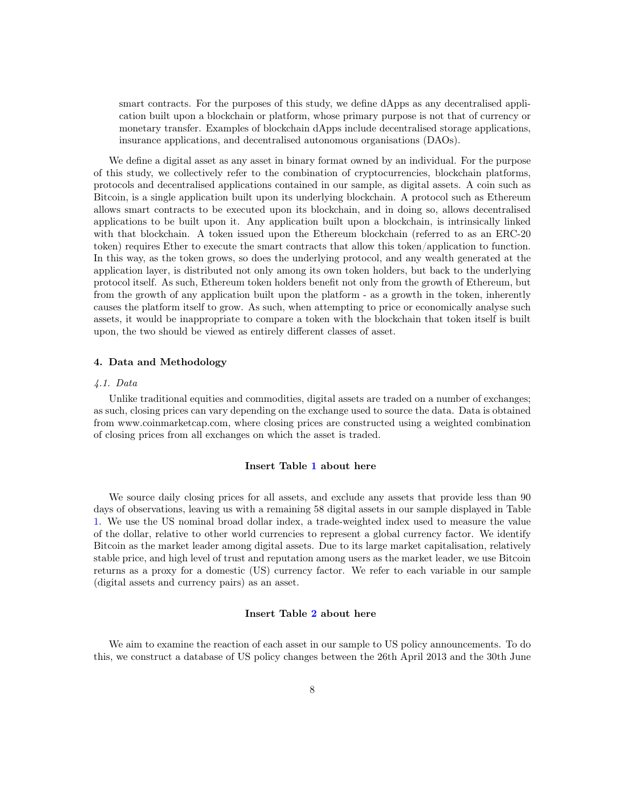smart contracts. For the purposes of this study, we define dApps as any decentralised application built upon a blockchain or platform, whose primary purpose is not that of currency or monetary transfer. Examples of blockchain dApps include decentralised storage applications, insurance applications, and decentralised autonomous organisations (DAOs).

We define a digital asset as any asset in binary format owned by an individual. For the purpose of this study, we collectively refer to the combination of cryptocurrencies, blockchain platforms, protocols and decentralised applications contained in our sample, as digital assets. A coin such as Bitcoin, is a single application built upon its underlying blockchain. A protocol such as Ethereum allows smart contracts to be executed upon its blockchain, and in doing so, allows decentralised applications to be built upon it. Any application built upon a blockchain, is intrinsically linked with that blockchain. A token issued upon the Ethereum blockchain (referred to as an ERC-20 token) requires Ether to execute the smart contracts that allow this token/application to function. In this way, as the token grows, so does the underlying protocol, and any wealth generated at the application layer, is distributed not only among its own token holders, but back to the underlying protocol itself. As such, Ethereum token holders benefit not only from the growth of Ethereum, but from the growth of any application built upon the platform - as a growth in the token, inherently causes the platform itself to grow. As such, when attempting to price or economically analyse such assets, it would be inappropriate to compare a token with the blockchain that token itself is built upon, the two should be viewed as entirely different classes of asset.

## 4. Data and Methodology

## 4.1. Data

Unlike traditional equities and commodities, digital assets are traded on a number of exchanges; as such, closing prices can vary depending on the exchange used to source the data. Data is obtained from www.coinmarketcap.com, where closing prices are constructed using a weighted combination of closing prices from all exchanges on which the asset is traded.

## Insert Table [1](#page-20-0) about here

We source daily closing prices for all assets, and exclude any assets that provide less than 90 days of observations, leaving us with a remaining 58 digital assets in our sample displayed in Table [1.](#page-20-0) We use the US nominal broad dollar index, a trade-weighted index used to measure the value of the dollar, relative to other world currencies to represent a global currency factor. We identify Bitcoin as the market leader among digital assets. Due to its large market capitalisation, relatively stable price, and high level of trust and reputation among users as the market leader, we use Bitcoin returns as a proxy for a domestic (US) currency factor. We refer to each variable in our sample (digital assets and currency pairs) as an asset.

#### Insert Table [2](#page-22-0) about here

We aim to examine the reaction of each asset in our sample to US policy announcements. To do this, we construct a database of US policy changes between the 26th April 2013 and the 30th June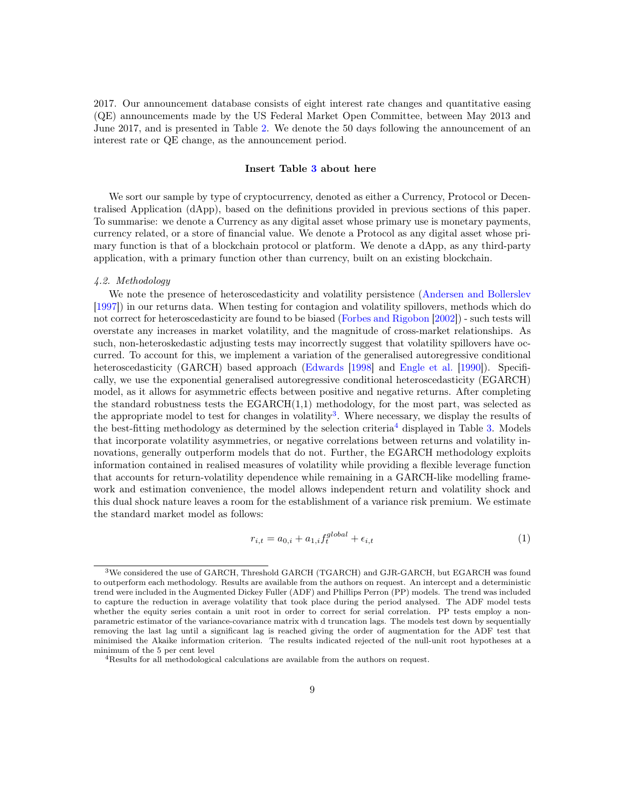2017. Our announcement database consists of eight interest rate changes and quantitative easing (QE) announcements made by the US Federal Market Open Committee, between May 2013 and June 2017, and is presented in Table [2.](#page-22-0) We denote the 50 days following the announcement of an interest rate or QE change, as the announcement period.

## Insert Table [3](#page-23-0) about here

We sort our sample by type of cryptocurrency, denoted as either a Currency, Protocol or Decentralised Application (dApp), based on the definitions provided in previous sections of this paper. To summarise: we denote a Currency as any digital asset whose primary use is monetary payments, currency related, or a store of financial value. We denote a Protocol as any digital asset whose primary function is that of a blockchain protocol or platform. We denote a dApp, as any third-party application, with a primary function other than currency, built on an existing blockchain.

#### 4.2. Methodology

We note the presence of heteroscedasticity and volatility persistence [\(Andersen and Bollerslev](#page-15-7) [\[1997\]](#page-15-7)) in our returns data. When testing for contagion and volatility spillovers, methods which do not correct for heteroscedasticity are found to be biased [\(Forbes and Rigobon](#page-16-10) [\[2002\]](#page-16-10)) - such tests will overstate any increases in market volatility, and the magnitude of cross-market relationships. As such, non-heteroskedastic adjusting tests may incorrectly suggest that volatility spillovers have occurred. To account for this, we implement a variation of the generalised autoregressive conditional heteroscedasticity (GARCH) based approach [\(Edwards](#page-16-11) [\[1998\]](#page-16-11) and [Engle et al.](#page-16-12) [\[1990\]](#page-16-12)). Specifically, we use the exponential generalised autoregressive conditional heteroscedasticity (EGARCH) model, as it allows for asymmetric effects between positive and negative returns. After completing the standard robustness tests the EGARCH(1,1) methodology, for the most part, was selected as the appropriate model to test for changes in volatility<sup>[3](#page-0-0)</sup>. Where necessary, we display the results of the best-fitting methodology as determined by the selection criteria<sup>[4](#page-0-0)</sup> displayed in Table [3.](#page-23-0) Models that incorporate volatility asymmetries, or negative correlations between returns and volatility innovations, generally outperform models that do not. Further, the EGARCH methodology exploits information contained in realised measures of volatility while providing a flexible leverage function that accounts for return-volatility dependence while remaining in a GARCH-like modelling framework and estimation convenience, the model allows independent return and volatility shock and this dual shock nature leaves a room for the establishment of a variance risk premium. We estimate the standard market model as follows:

$$
r_{i,t} = a_{0,i} + a_{1,i} f_t^{global} + \epsilon_{i,t}
$$
\n
$$
\tag{1}
$$

<sup>3</sup>We considered the use of GARCH, Threshold GARCH (TGARCH) and GJR-GARCH, but EGARCH was found to outperform each methodology. Results are available from the authors on request. An intercept and a deterministic trend were included in the Augmented Dickey Fuller (ADF) and Phillips Perron (PP) models. The trend was included to capture the reduction in average volatility that took place during the period analysed. The ADF model tests whether the equity series contain a unit root in order to correct for serial correlation. PP tests employ a nonparametric estimator of the variance-covariance matrix with d truncation lags. The models test down by sequentially removing the last lag until a significant lag is reached giving the order of augmentation for the ADF test that minimised the Akaike information criterion. The results indicated rejected of the null-unit root hypotheses at a minimum of the 5 per cent level

<sup>4</sup>Results for all methodological calculations are available from the authors on request.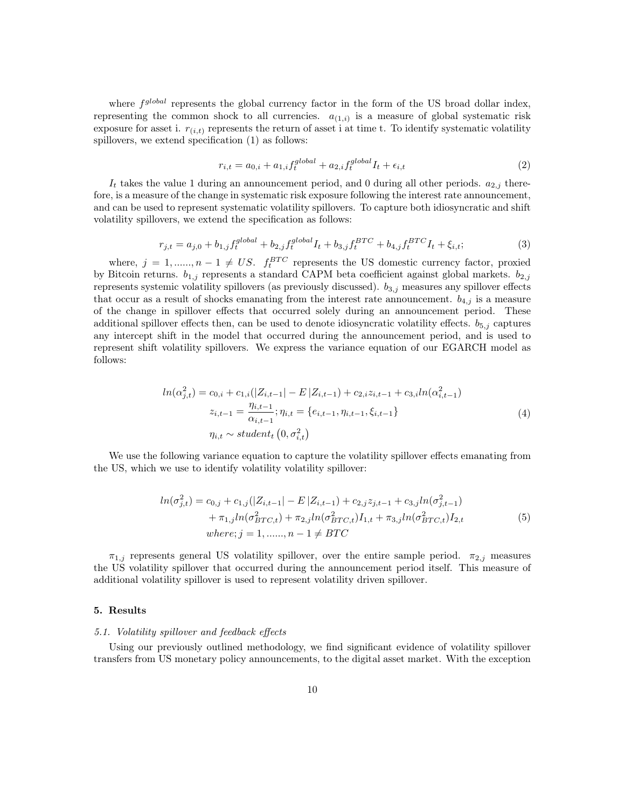where  $f^{global}$  represents the global currency factor in the form of the US broad dollar index, representing the common shock to all currencies.  $a_{(1,i)}$  is a measure of global systematic risk exposure for asset i.  $r_{(i,t)}$  represents the return of asset i at time t. To identify systematic volatility spillovers, we extend specification (1) as follows:

$$
r_{i,t} = a_{0,i} + a_{1,i} f_t^{global} + a_{2,i} f_t^{global} I_t + \epsilon_{i,t}
$$
\n(2)

 $I_t$  takes the value 1 during an announcement period, and 0 during all other periods.  $a_{2,j}$  therefore, is a measure of the change in systematic risk exposure following the interest rate announcement, and can be used to represent systematic volatility spillovers. To capture both idiosyncratic and shift volatility spillovers, we extend the specification as follows:

$$
r_{j,t} = a_{j,0} + b_{1,j} f_t^{global} + b_{2,j} f_t^{global} I_t + b_{3,j} f_t^{BTC} + b_{4,j} f_t^{BTC} I_t + \xi_{i,t};
$$
\n(3)

where,  $j = 1, \ldots, n-1 \neq US$ .  $f_t^{BTC}$  represents the US domestic currency factor, proxied by Bitcoin returns.  $b_{1,j}$  represents a standard CAPM beta coefficient against global markets.  $b_{2,j}$ represents systemic volatility spillovers (as previously discussed).  $b_{3,i}$  measures any spillover effects that occur as a result of shocks emanating from the interest rate announcement.  $b_{4,j}$  is a measure of the change in spillover effects that occurred solely during an announcement period. These additional spillover effects then, can be used to denote idiosyncratic volatility effects.  $b_{5,j}$  captures any intercept shift in the model that occurred during the announcement period, and is used to represent shift volatility spillovers. We express the variance equation of our EGARCH model as follows:

$$
ln(\alpha_{j,t}^2) = c_{0,i} + c_{1,i}(|Z_{i,t-1}| - E|Z_{i,t-1}) + c_{2,i}z_{i,t-1} + c_{3,i}ln(\alpha_{i,t-1}^2)
$$
  

$$
z_{i,t-1} = \frac{\eta_{i,t-1}}{\alpha_{i,t-1}}; \eta_{i,t} = \{e_{i,t-1}, \eta_{i,t-1}, \xi_{i,t-1}\}
$$
  

$$
\eta_{i,t} \sim student_t(0, \sigma_{i,t}^2)
$$
 (4)

We use the following variance equation to capture the volatility spillover effects emanating from the US, which we use to identify volatility volatility spillover:

$$
ln(\sigma_{j,t}^2) = c_{0,j} + c_{1,j}(|Z_{i,t-1}| - E|Z_{i,t-1}) + c_{2,j}z_{j,t-1} + c_{3,j}ln(\sigma_{j,t-1}^2) + \pi_{1,j}ln(\sigma_{BTC,t}^2) + \pi_{2,j}ln(\sigma_{BTC,t}^2)I_{1,t} + \pi_{3,j}ln(\sigma_{BTC,t}^2)I_{2,t} where; j = 1, ......., n - 1 \neq BTC
$$
\n(5)

 $\pi_{1,j}$  represents general US volatility spillover, over the entire sample period.  $\pi_{2,j}$  measures the US volatility spillover that occurred during the announcement period itself. This measure of additional volatility spillover is used to represent volatility driven spillover.

## 5. Results

#### 5.1. Volatility spillover and feedback effects

Using our previously outlined methodology, we find significant evidence of volatility spillover transfers from US monetary policy announcements, to the digital asset market. With the exception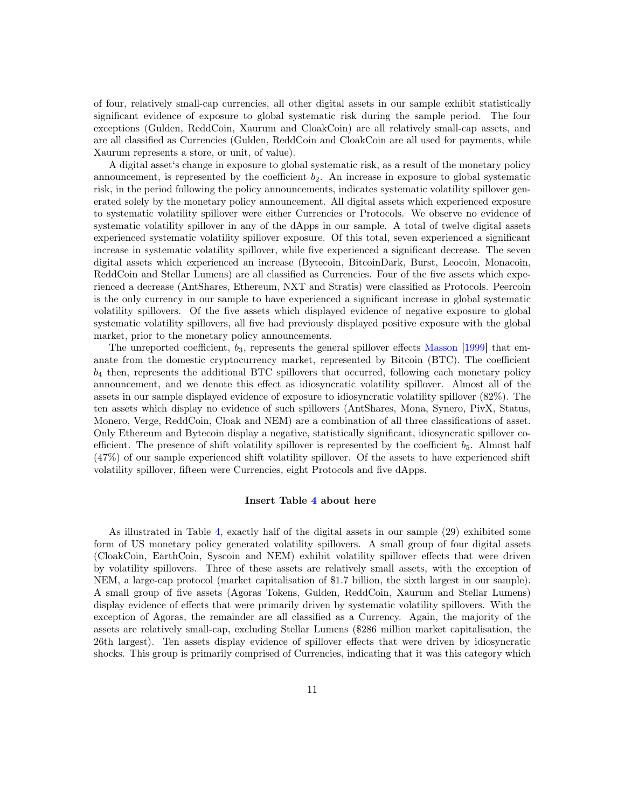of four, relatively small-cap currencies, all other digital assets in our sample exhibit statistically significant evidence of exposure to global systematic risk during the sample period. The four exceptions (Gulden, ReddCoin, Xaurum and CloakCoin) are all relatively small-cap assets, and are all classified as Currencies (Gulden, ReddCoin and CloakCoin are all used for payments, while Xaurum represents a store, or unit, of value).

A digital asset's change in exposure to global systematic risk, as a result of the monetary policy announcement, is represented by the coefficient  $b_2$ . An increase in exposure to global systematic risk, in the period following the policy announcements, indicates systematic volatility spillover generated solely by the monetary policy announcement. All digital assets which experienced exposure to systematic volatility spillover were either Currencies or Protocols. We observe no evidence of systematic volatility spillover in any of the dApps in our sample. A total of twelve digital assets experienced systematic volatility spillover exposure. Of this total, seven experienced a significant increase in systematic volatility spillover, while five experienced a significant decrease. The seven digital assets which experienced an increase (Bytecoin, BitcoinDark, Burst, Leocoin, Monacoin, ReddCoin and Stellar Lumens) are all classified as Currencies. Four of the five assets which experienced a decrease (AntShares, Ethereum, NXT and Stratis) were classified as Protocols. Peercoin is the only currency in our sample to have experienced a significant increase in global systematic volatility spillovers. Of the five assets which displayed evidence of negative exposure to global systematic volatility spillovers, all five had previously displayed positive exposure with the global market, prior to the monetary policy announcements.

The unreported coefficient,  $b_3$ , represents the general spillover effects [Masson](#page-17-16) [\[1999\]](#page-17-16) that emanate from the domestic cryptocurrency market, represented by Bitcoin (BTC). The coefficient  $b_4$  then, represents the additional BTC spillovers that occurred, following each monetary policy announcement, and we denote this effect as idiosyncratic volatility spillover. Almost all of the assets in our sample displayed evidence of exposure to idiosyncratic volatility spillover (82%). The ten assets which display no evidence of such spillovers (AntShares, Mona, Synero, PivX, Status, Monero, Verge, ReddCoin, Cloak and NEM) are a combination of all three classifications of asset. Only Ethereum and Bytecoin display a negative, statistically significant, idiosyncratic spillover coefficient. The presence of shift volatility spillover is represented by the coefficient  $b_5$ . Almost half (47%) of our sample experienced shift volatility spillover. Of the assets to have experienced shift volatility spillover, fifteen were Currencies, eight Protocols and five dApps.

#### Insert Table [4](#page-24-0) about here

As illustrated in Table [4,](#page-24-0) exactly half of the digital assets in our sample (29) exhibited some form of US monetary policy generated volatility spillovers. A small group of four digital assets (CloakCoin, EarthCoin, Syscoin and NEM) exhibit volatility spillover effects that were driven by volatility spillovers. Three of these assets are relatively small assets, with the exception of NEM, a large-cap protocol (market capitalisation of \$1.7 billion, the sixth largest in our sample). A small group of five assets (Agoras Tokens, Gulden, ReddCoin, Xaurum and Stellar Lumens) display evidence of effects that were primarily driven by systematic volatility spillovers. With the exception of Agoras, the remainder are all classified as a Currency. Again, the majority of the assets are relatively small-cap, excluding Stellar Lumens (\$286 million market capitalisation, the 26th largest). Ten assets display evidence of spillover effects that were driven by idiosyncratic shocks. This group is primarily comprised of Currencies, indicating that it was this category which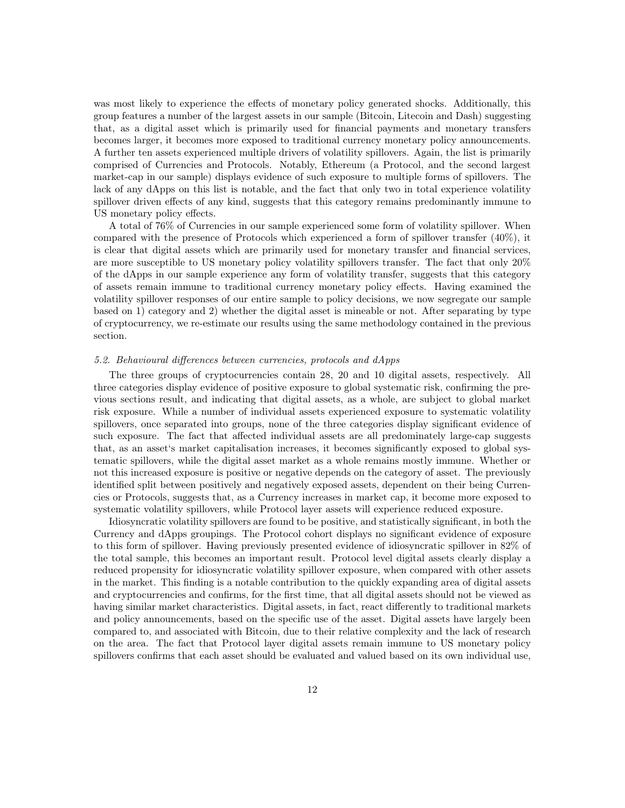was most likely to experience the effects of monetary policy generated shocks. Additionally, this group features a number of the largest assets in our sample (Bitcoin, Litecoin and Dash) suggesting that, as a digital asset which is primarily used for financial payments and monetary transfers becomes larger, it becomes more exposed to traditional currency monetary policy announcements. A further ten assets experienced multiple drivers of volatility spillovers. Again, the list is primarily comprised of Currencies and Protocols. Notably, Ethereum (a Protocol, and the second largest market-cap in our sample) displays evidence of such exposure to multiple forms of spillovers. The lack of any dApps on this list is notable, and the fact that only two in total experience volatility spillover driven effects of any kind, suggests that this category remains predominantly immune to US monetary policy effects.

A total of 76% of Currencies in our sample experienced some form of volatility spillover. When compared with the presence of Protocols which experienced a form of spillover transfer (40%), it is clear that digital assets which are primarily used for monetary transfer and financial services, are more susceptible to US monetary policy volatility spillovers transfer. The fact that only 20% of the dApps in our sample experience any form of volatility transfer, suggests that this category of assets remain immune to traditional currency monetary policy effects. Having examined the volatility spillover responses of our entire sample to policy decisions, we now segregate our sample based on 1) category and 2) whether the digital asset is mineable or not. After separating by type of cryptocurrency, we re-estimate our results using the same methodology contained in the previous section.

## 5.2. Behavioural differences between currencies, protocols and dApps

The three groups of cryptocurrencies contain 28, 20 and 10 digital assets, respectively. All three categories display evidence of positive exposure to global systematic risk, confirming the previous sections result, and indicating that digital assets, as a whole, are subject to global market risk exposure. While a number of individual assets experienced exposure to systematic volatility spillovers, once separated into groups, none of the three categories display significant evidence of such exposure. The fact that affected individual assets are all predominately large-cap suggests that, as an asset's market capitalisation increases, it becomes significantly exposed to global systematic spillovers, while the digital asset market as a whole remains mostly immune. Whether or not this increased exposure is positive or negative depends on the category of asset. The previously identified split between positively and negatively exposed assets, dependent on their being Currencies or Protocols, suggests that, as a Currency increases in market cap, it become more exposed to systematic volatility spillovers, while Protocol layer assets will experience reduced exposure.

Idiosyncratic volatility spillovers are found to be positive, and statistically significant, in both the Currency and dApps groupings. The Protocol cohort displays no significant evidence of exposure to this form of spillover. Having previously presented evidence of idiosyncratic spillover in 82% of the total sample, this becomes an important result. Protocol level digital assets clearly display a reduced propensity for idiosyncratic volatility spillover exposure, when compared with other assets in the market. This finding is a notable contribution to the quickly expanding area of digital assets and cryptocurrencies and confirms, for the first time, that all digital assets should not be viewed as having similar market characteristics. Digital assets, in fact, react differently to traditional markets and policy announcements, based on the specific use of the asset. Digital assets have largely been compared to, and associated with Bitcoin, due to their relative complexity and the lack of research on the area. The fact that Protocol layer digital assets remain immune to US monetary policy spillovers confirms that each asset should be evaluated and valued based on its own individual use,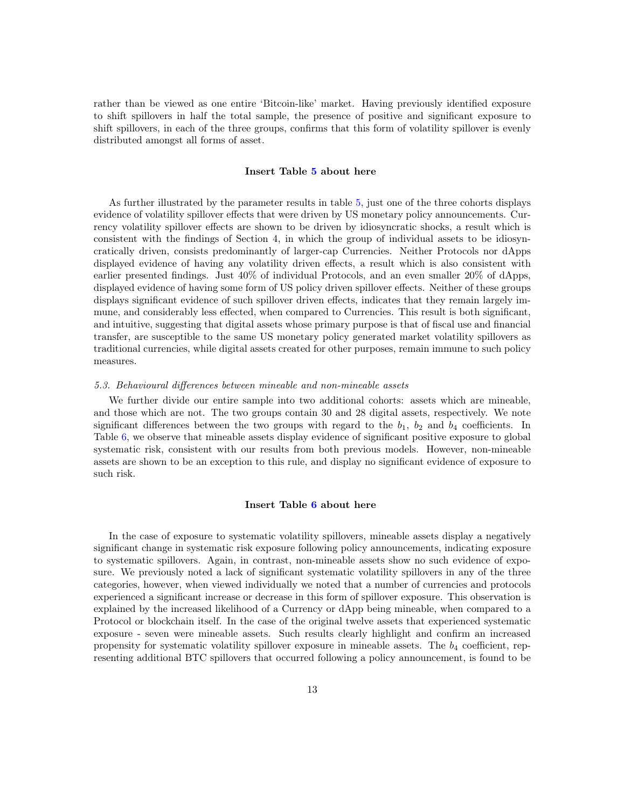rather than be viewed as one entire 'Bitcoin-like' market. Having previously identified exposure to shift spillovers in half the total sample, the presence of positive and significant exposure to shift spillovers, in each of the three groups, confirms that this form of volatility spillover is evenly distributed amongst all forms of asset.

#### Insert Table [5](#page-25-0) about here

As further illustrated by the parameter results in table [5,](#page-25-0) just one of the three cohorts displays evidence of volatility spillover effects that were driven by US monetary policy announcements. Currency volatility spillover effects are shown to be driven by idiosyncratic shocks, a result which is consistent with the findings of Section 4, in which the group of individual assets to be idiosyncratically driven, consists predominantly of larger-cap Currencies. Neither Protocols nor dApps displayed evidence of having any volatility driven effects, a result which is also consistent with earlier presented findings. Just 40% of individual Protocols, and an even smaller 20% of dApps, displayed evidence of having some form of US policy driven spillover effects. Neither of these groups displays significant evidence of such spillover driven effects, indicates that they remain largely immune, and considerably less effected, when compared to Currencies. This result is both significant, and intuitive, suggesting that digital assets whose primary purpose is that of fiscal use and financial transfer, are susceptible to the same US monetary policy generated market volatility spillovers as traditional currencies, while digital assets created for other purposes, remain immune to such policy measures.

## 5.3. Behavioural differences between mineable and non-mineable assets

We further divide our entire sample into two additional cohorts: assets which are mineable, and those which are not. The two groups contain 30 and 28 digital assets, respectively. We note significant differences between the two groups with regard to the  $b_1$ ,  $b_2$  and  $b_4$  coefficients. In Table [6,](#page-25-1) we observe that mineable assets display evidence of significant positive exposure to global systematic risk, consistent with our results from both previous models. However, non-mineable assets are shown to be an exception to this rule, and display no significant evidence of exposure to such risk.

### Insert Table [6](#page-25-1) about here

In the case of exposure to systematic volatility spillovers, mineable assets display a negatively significant change in systematic risk exposure following policy announcements, indicating exposure to systematic spillovers. Again, in contrast, non-mineable assets show no such evidence of exposure. We previously noted a lack of significant systematic volatility spillovers in any of the three categories, however, when viewed individually we noted that a number of currencies and protocols experienced a significant increase or decrease in this form of spillover exposure. This observation is explained by the increased likelihood of a Currency or dApp being mineable, when compared to a Protocol or blockchain itself. In the case of the original twelve assets that experienced systematic exposure - seven were mineable assets. Such results clearly highlight and confirm an increased propensity for systematic volatility spillover exposure in mineable assets. The  $b_4$  coefficient, representing additional BTC spillovers that occurred following a policy announcement, is found to be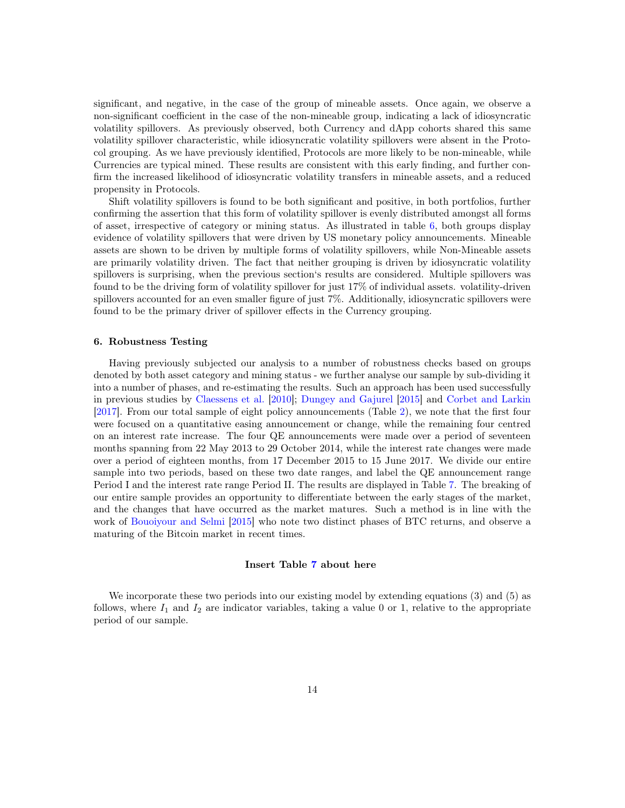significant, and negative, in the case of the group of mineable assets. Once again, we observe a non-significant coefficient in the case of the non-mineable group, indicating a lack of idiosyncratic volatility spillovers. As previously observed, both Currency and dApp cohorts shared this same volatility spillover characteristic, while idiosyncratic volatility spillovers were absent in the Protocol grouping. As we have previously identified, Protocols are more likely to be non-mineable, while Currencies are typical mined. These results are consistent with this early finding, and further confirm the increased likelihood of idiosyncratic volatility transfers in mineable assets, and a reduced propensity in Protocols.

Shift volatility spillovers is found to be both significant and positive, in both portfolios, further confirming the assertion that this form of volatility spillover is evenly distributed amongst all forms of asset, irrespective of category or mining status. As illustrated in table [6,](#page-25-1) both groups display evidence of volatility spillovers that were driven by US monetary policy announcements. Mineable assets are shown to be driven by multiple forms of volatility spillovers, while Non-Mineable assets are primarily volatility driven. The fact that neither grouping is driven by idiosyncratic volatility spillovers is surprising, when the previous section's results are considered. Multiple spillovers was found to be the driving form of volatility spillover for just 17% of individual assets. volatility-driven spillovers accounted for an even smaller figure of just 7%. Additionally, idiosyncratic spillovers were found to be the primary driver of spillover effects in the Currency grouping.

## 6. Robustness Testing

Having previously subjected our analysis to a number of robustness checks based on groups denoted by both asset category and mining status - we further analyse our sample by sub-dividing it into a number of phases, and re-estimating the results. Such an approach has been used successfully in previous studies by [Claessens et al.](#page-16-13) [\[2010\]](#page-16-13); [Dungey and Gajurel](#page-16-14) [\[2015\]](#page-16-14) and [Corbet and Larkin](#page-16-15) [\[2017\]](#page-16-15). From our total sample of eight policy announcements (Table [2\)](#page-22-0), we note that the first four were focused on a quantitative easing announcement or change, while the remaining four centred on an interest rate increase. The four QE announcements were made over a period of seventeen months spanning from 22 May 2013 to 29 October 2014, while the interest rate changes were made over a period of eighteen months, from 17 December 2015 to 15 June 2017. We divide our entire sample into two periods, based on these two date ranges, and label the QE announcement range Period I and the interest rate range Period II. The results are displayed in Table [7.](#page-26-0) The breaking of our entire sample provides an opportunity to differentiate between the early stages of the market, and the changes that have occurred as the market matures. Such a method is in line with the work of [Bouoiyour and Selmi](#page-15-8) [\[2015\]](#page-15-8) who note two distinct phases of BTC returns, and observe a maturing of the Bitcoin market in recent times.

#### Insert Table [7](#page-26-0) about here

We incorporate these two periods into our existing model by extending equations (3) and (5) as follows, where  $I_1$  and  $I_2$  are indicator variables, taking a value 0 or 1, relative to the appropriate period of our sample.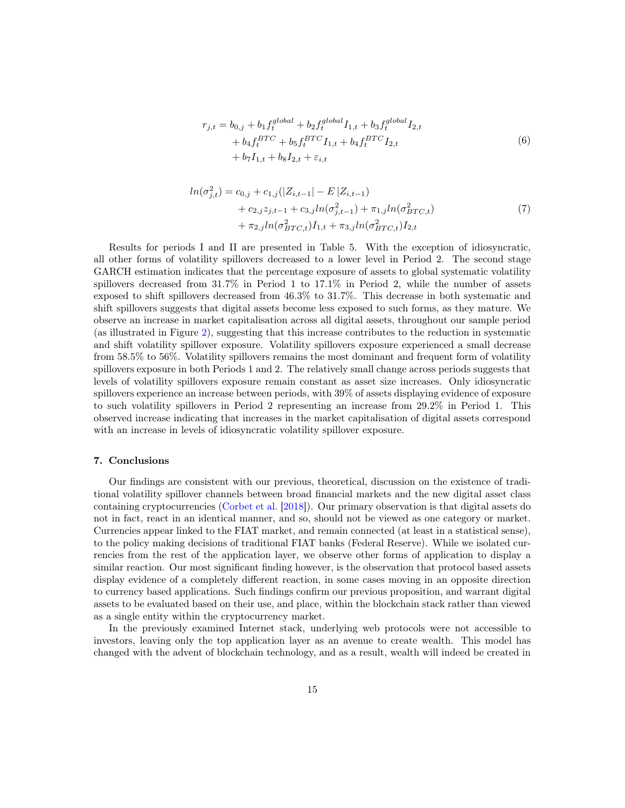$$
r_{j,t} = b_{0,j} + b_1 f_t^{global} + b_2 f_t^{global} I_{1,t} + b_3 f_t^{global} I_{2,t}
$$
  
+  $b_4 f_t^{BTC} + b_5 f_t^{BTC} I_{1,t} + b_4 f_t^{BTC} I_{2,t}$   
+  $b_7 I_{1,t} + b_8 I_{2,t} + \varepsilon_{i,t}$  (6)

$$
ln(\sigma_{j,t}^2) = c_{0,j} + c_{1,j}(|Z_{i,t-1}| - E|Z_{i,t-1})
$$
  
+ 
$$
c_{2,j}z_{j,t-1} + c_{3,j}ln(\sigma_{j,t-1}^2) + \pi_{1,j}ln(\sigma_{BTC,t}^2)
$$
  
+ 
$$
\pi_{2,j}ln(\sigma_{BTC,t}^2)I_{1,t} + \pi_{3,j}ln(\sigma_{BTC,t}^2)I_{2,t}
$$
 (7)

Results for periods I and II are presented in Table 5. With the exception of idiosyncratic, all other forms of volatility spillovers decreased to a lower level in Period 2. The second stage GARCH estimation indicates that the percentage exposure of assets to global systematic volatility spillovers decreased from 31.7% in Period 1 to 17.1% in Period 2, while the number of assets exposed to shift spillovers decreased from 46.3% to 31.7%. This decrease in both systematic and shift spillovers suggests that digital assets become less exposed to such forms, as they mature. We observe an increase in market capitalisation across all digital assets, throughout our sample period (as illustrated in Figure [2\)](#page-21-0), suggesting that this increase contributes to the reduction in systematic and shift volatility spillover exposure. Volatility spillovers exposure experienced a small decrease from 58.5% to 56%. Volatility spillovers remains the most dominant and frequent form of volatility spillovers exposure in both Periods 1 and 2. The relatively small change across periods suggests that levels of volatility spillovers exposure remain constant as asset size increases. Only idiosyncratic spillovers experience an increase between periods, with 39% of assets displaying evidence of exposure to such volatility spillovers in Period 2 representing an increase from 29.2% in Period 1. This observed increase indicating that increases in the market capitalisation of digital assets correspond with an increase in levels of idiosyncratic volatility spillover exposure.

## 7. Conclusions

Our findings are consistent with our previous, theoretical, discussion on the existence of traditional volatility spillover channels between broad financial markets and the new digital asset class containing cryptocurrencies [\(Corbet et al.](#page-16-1) [\[2018\]](#page-16-1)). Our primary observation is that digital assets do not in fact, react in an identical manner, and so, should not be viewed as one category or market. Currencies appear linked to the FIAT market, and remain connected (at least in a statistical sense), to the policy making decisions of traditional FIAT banks (Federal Reserve). While we isolated currencies from the rest of the application layer, we observe other forms of application to display a similar reaction. Our most significant finding however, is the observation that protocol based assets display evidence of a completely different reaction, in some cases moving in an opposite direction to currency based applications. Such findings confirm our previous proposition, and warrant digital assets to be evaluated based on their use, and place, within the blockchain stack rather than viewed as a single entity within the cryptocurrency market.

In the previously examined Internet stack, underlying web protocols were not accessible to investors, leaving only the top application layer as an avenue to create wealth. This model has changed with the advent of blockchain technology, and as a result, wealth will indeed be created in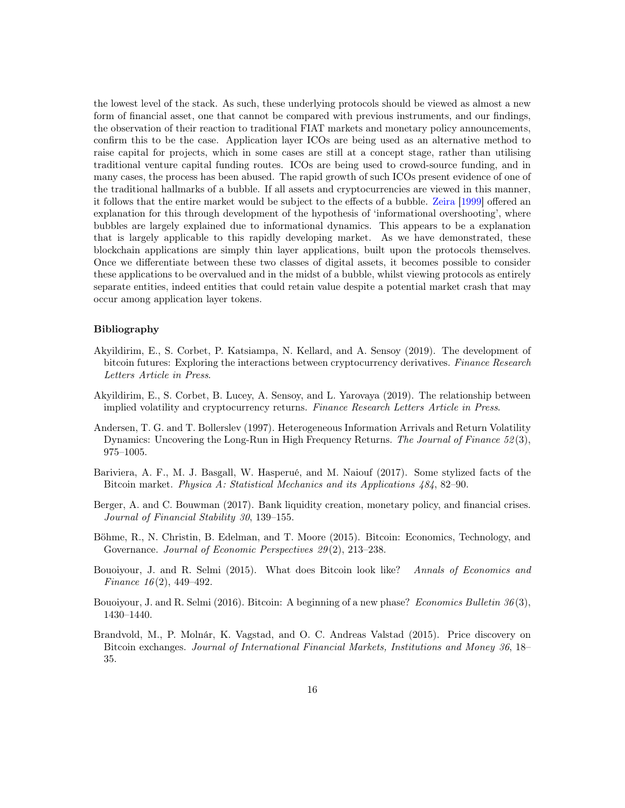the lowest level of the stack. As such, these underlying protocols should be viewed as almost a new form of financial asset, one that cannot be compared with previous instruments, and our findings, the observation of their reaction to traditional FIAT markets and monetary policy announcements, confirm this to be the case. Application layer ICOs are being used as an alternative method to raise capital for projects, which in some cases are still at a concept stage, rather than utilising traditional venture capital funding routes. ICOs are being used to crowd-source funding, and in many cases, the process has been abused. The rapid growth of such ICOs present evidence of one of the traditional hallmarks of a bubble. If all assets and cryptocurrencies are viewed in this manner, it follows that the entire market would be subject to the effects of a bubble. [Zeira](#page-18-1) [\[1999\]](#page-18-1) offered an explanation for this through development of the hypothesis of 'informational overshooting', where bubbles are largely explained due to informational dynamics. This appears to be a explanation that is largely applicable to this rapidly developing market. As we have demonstrated, these blockchain applications are simply thin layer applications, built upon the protocols themselves. Once we differentiate between these two classes of digital assets, it becomes possible to consider these applications to be overvalued and in the midst of a bubble, whilst viewing protocols as entirely separate entities, indeed entities that could retain value despite a potential market crash that may occur among application layer tokens.

## Bibliography

- <span id="page-15-1"></span>Akyildirim, E., S. Corbet, P. Katsiampa, N. Kellard, and A. Sensoy (2019). The development of bitcoin futures: Exploring the interactions between cryptocurrency derivatives. Finance Research Letters Article in Press.
- <span id="page-15-4"></span>Akyildirim, E., S. Corbet, B. Lucey, A. Sensoy, and L. Yarovaya (2019). The relationship between implied volatility and cryptocurrency returns. Finance Research Letters Article in Press.
- <span id="page-15-7"></span>Andersen, T. G. and T. Bollerslev (1997). Heterogeneous Information Arrivals and Return Volatility Dynamics: Uncovering the Long-Run in High Frequency Returns. The Journal of Finance 52(3), 975–1005.
- <span id="page-15-6"></span>Bariviera, A. F., M. J. Basgall, W. Hasperué, and M. Naiouf (2017). Some stylized facts of the Bitcoin market. *Physica A: Statistical Mechanics and its Applications 484, 82–90.*
- <span id="page-15-0"></span>Berger, A. and C. Bouwman (2017). Bank liquidity creation, monetary policy, and financial crises. Journal of Financial Stability 30, 139–155.
- <span id="page-15-2"></span>Böhme, R., N. Christin, B. Edelman, and T. Moore (2015). Bitcoin: Economics, Technology, and Governance. Journal of Economic Perspectives 29(2), 213-238.
- <span id="page-15-8"></span>Bouoiyour, J. and R. Selmi (2015). What does Bitcoin look like? Annals of Economics and Finance  $16(2)$ , 449-492.
- <span id="page-15-5"></span>Bouoiyour, J. and R. Selmi (2016). Bitcoin: A beginning of a new phase? Economics Bulletin  $\mathcal{F}(3)$ , 1430–1440.
- <span id="page-15-3"></span>Brandvold, M., P. Molnár, K. Vagstad, and O. C. Andreas Valstad (2015). Price discovery on Bitcoin exchanges. Journal of International Financial Markets, Institutions and Money 36, 18– 35.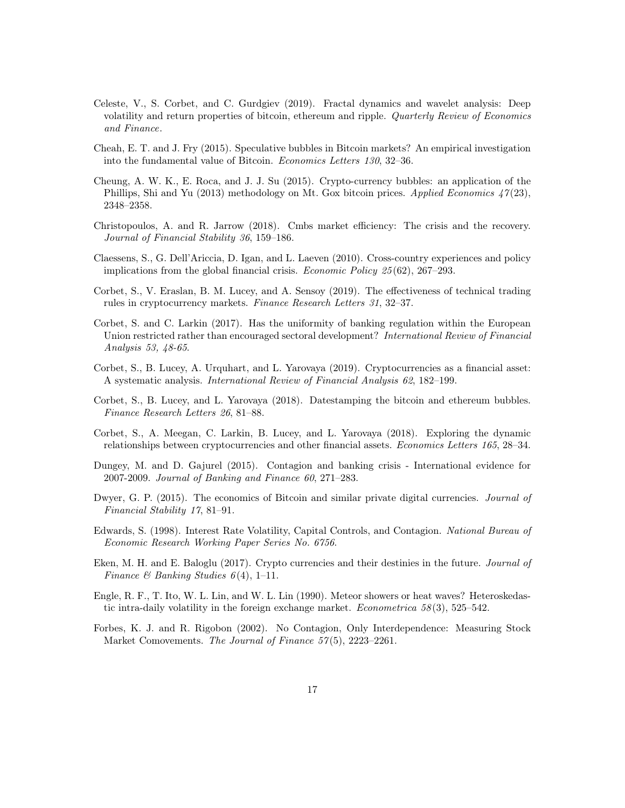- <span id="page-16-3"></span>Celeste, V., S. Corbet, and C. Gurdgiev (2019). Fractal dynamics and wavelet analysis: Deep volatility and return properties of bitcoin, ethereum and ripple. Quarterly Review of Economics and Finance.
- <span id="page-16-8"></span>Cheah, E. T. and J. Fry (2015). Speculative bubbles in Bitcoin markets? An empirical investigation into the fundamental value of Bitcoin. Economics Letters 130, 32–36.
- <span id="page-16-9"></span>Cheung, A. W. K., E. Roca, and J. J. Su (2015). Crypto-currency bubbles: an application of the Phillips, Shi and Yu (2013) methodology on Mt. Gox bitcoin prices. Applied Economics  $\angle 47(23)$ , 2348–2358.
- <span id="page-16-4"></span>Christopoulos, A. and R. Jarrow (2018). Cmbs market efficiency: The crisis and the recovery. Journal of Financial Stability 36, 159–186.
- <span id="page-16-13"></span>Claessens, S., G. Dell'Ariccia, D. Igan, and L. Laeven (2010). Cross-country experiences and policy implications from the global financial crisis. Economic Policy 25 (62), 267–293.
- <span id="page-16-0"></span>Corbet, S., V. Eraslan, B. M. Lucey, and A. Sensoy (2019). The effectiveness of technical trading rules in cryptocurrency markets. Finance Research Letters 31, 32–37.
- <span id="page-16-15"></span>Corbet, S. and C. Larkin (2017). Has the uniformity of banking regulation within the European Union restricted rather than encouraged sectoral development? International Review of Financial Analysis 53, 48-65.
- <span id="page-16-5"></span>Corbet, S., B. Lucey, A. Urquhart, and L. Yarovaya (2019). Cryptocurrencies as a financial asset: A systematic analysis. International Review of Financial Analysis 62, 182–199.
- <span id="page-16-2"></span>Corbet, S., B. Lucey, and L. Yarovaya (2018). Datestamping the bitcoin and ethereum bubbles. Finance Research Letters 26, 81–88.
- <span id="page-16-1"></span>Corbet, S., A. Meegan, C. Larkin, B. Lucey, and L. Yarovaya (2018). Exploring the dynamic relationships between cryptocurrencies and other financial assets. Economics Letters 165, 28–34.
- <span id="page-16-14"></span>Dungey, M. and D. Gajurel (2015). Contagion and banking crisis - International evidence for 2007-2009. Journal of Banking and Finance 60, 271–283.
- <span id="page-16-7"></span>Dwyer, G. P. (2015). The economics of Bitcoin and similar private digital currencies. *Journal of* Financial Stability 17, 81–91.
- <span id="page-16-11"></span>Edwards, S. (1998). Interest Rate Volatility, Capital Controls, and Contagion. National Bureau of Economic Research Working Paper Series No. 6756.
- <span id="page-16-6"></span>Eken, M. H. and E. Baloglu (2017). Crypto currencies and their destinies in the future. Journal of Finance & Banking Studies  $6(4)$ , 1–11.
- <span id="page-16-12"></span>Engle, R. F., T. Ito, W. L. Lin, and W. L. Lin (1990). Meteor showers or heat waves? Heteroskedastic intra-daily volatility in the foreign exchange market. *Econometrica*  $58(3)$ , 525–542.
- <span id="page-16-10"></span>Forbes, K. J. and R. Rigobon (2002). No Contagion, Only Interdependence: Measuring Stock Market Comovements. The Journal of Finance 57(5), 2223-2261.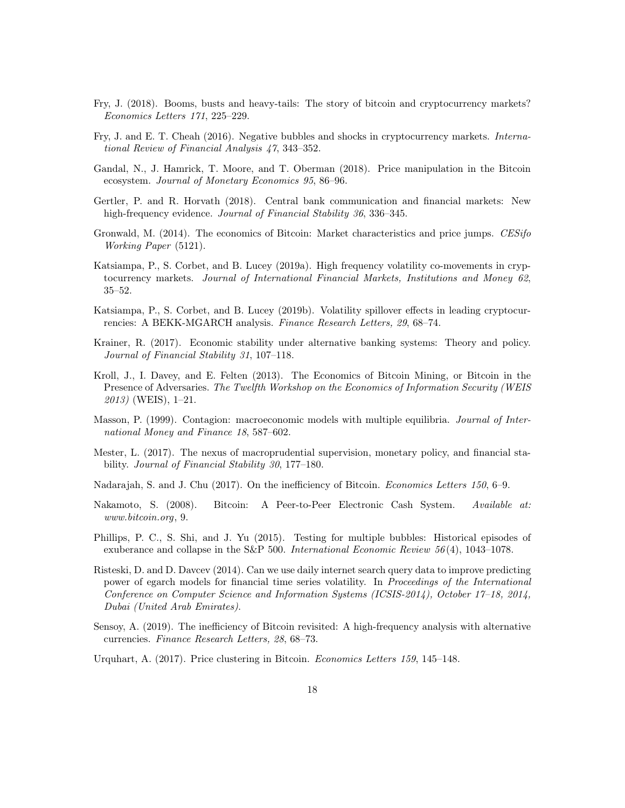- <span id="page-17-3"></span>Fry, J. (2018). Booms, busts and heavy-tails: The story of bitcoin and cryptocurrency markets? Economics Letters 171, 225–229.
- <span id="page-17-0"></span>Fry, J. and E. T. Cheah (2016). Negative bubbles and shocks in cryptocurrency markets. International Review of Financial Analysis 47, 343–352.
- <span id="page-17-4"></span>Gandal, N., J. Hamrick, T. Moore, and T. Oberman (2018). Price manipulation in the Bitcoin ecosystem. Journal of Monetary Economics 95, 86–96.
- <span id="page-17-9"></span>Gertler, P. and R. Horvath (2018). Central bank communication and financial markets: New high-frequency evidence. Journal of Financial Stability 36, 336–345.
- <span id="page-17-11"></span>Gronwald, M. (2014). The economics of Bitcoin: Market characteristics and price jumps. CESifo Working Paper (5121).
- <span id="page-17-5"></span>Katsiampa, P., S. Corbet, and B. Lucey (2019a). High frequency volatility co-movements in cryptocurrency markets. Journal of International Financial Markets, Institutions and Money 62, 35–52.
- <span id="page-17-6"></span>Katsiampa, P., S. Corbet, and B. Lucey (2019b). Volatility spillover effects in leading cryptocurrencies: A BEKK-MGARCH analysis. Finance Research Letters, 29, 68–74.
- <span id="page-17-8"></span>Krainer, R. (2017). Economic stability under alternative banking systems: Theory and policy. Journal of Financial Stability 31, 107–118.
- <span id="page-17-10"></span>Kroll, J., I. Davey, and E. Felten (2013). The Economics of Bitcoin Mining, or Bitcoin in the Presence of Adversaries. The Twelfth Workshop on the Economics of Information Security (WEIS 2013) (WEIS), 1–21.
- <span id="page-17-16"></span>Masson, P. (1999). Contagion: macroeconomic models with multiple equilibria. *Journal of Inter*national Money and Finance 18, 587–602.
- <span id="page-17-7"></span>Mester, L. (2017). The nexus of macroprudential supervision, monetary policy, and financial stability. Journal of Financial Stability 30, 177–180.
- <span id="page-17-13"></span>Nadarajah, S. and J. Chu (2017). On the inefficiency of Bitcoin. Economics Letters 150, 6-9.
- <span id="page-17-15"></span>Nakamoto, S. (2008). Bitcoin: A Peer-to-Peer Electronic Cash System. Available at: www.bitcoin.org, 9.
- <span id="page-17-14"></span>Phillips, P. C., S. Shi, and J. Yu (2015). Testing for multiple bubbles: Historical episodes of exuberance and collapse in the S&P 500. International Economic Review 56(4), 1043–1078.
- <span id="page-17-12"></span>Risteski, D. and D. Davcev (2014). Can we use daily internet search query data to improve predicting power of egarch models for financial time series volatility. In *Proceedings of the International* Conference on Computer Science and Information Systems (ICSIS-2014), October 17–18, 2014, Dubai (United Arab Emirates).
- <span id="page-17-1"></span>Sensoy, A. (2019). The inefficiency of Bitcoin revisited: A high-frequency analysis with alternative currencies. Finance Research Letters, 28, 68–73.

<span id="page-17-2"></span>Urquhart, A. (2017). Price clustering in Bitcoin. Economics Letters 159, 145–148.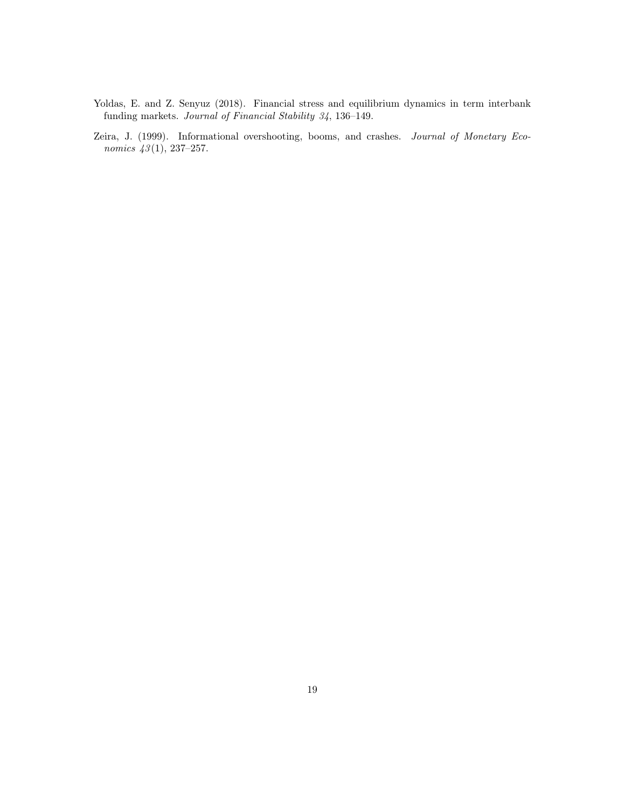- <span id="page-18-0"></span>Yoldas, E. and Z. Senyuz (2018). Financial stress and equilibrium dynamics in term interbank funding markets. Journal of Financial Stability 34, 136–149.
- <span id="page-18-1"></span>Zeira, J. (1999). Informational overshooting, booms, and crashes. Journal of Monetary Economics  $43(1)$ , 237-257.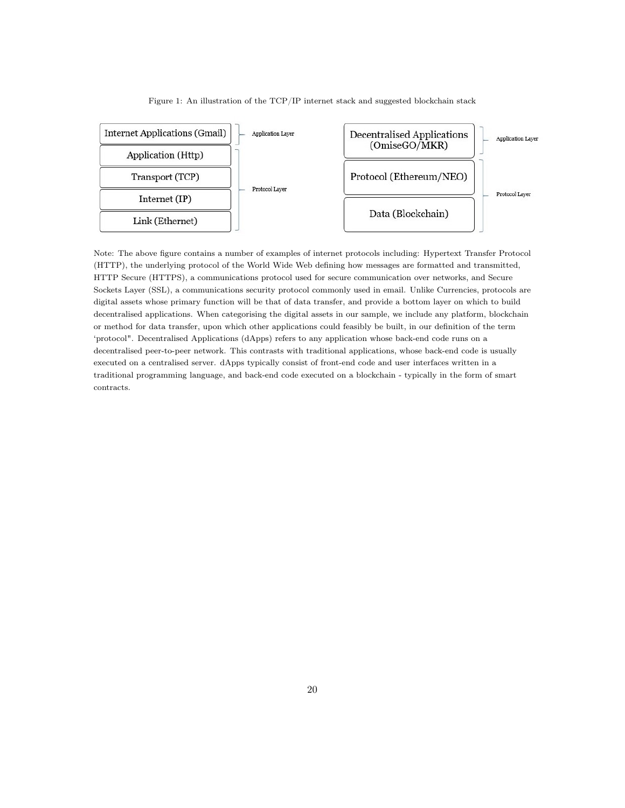<span id="page-19-0"></span>

Figure 1: An illustration of the TCP/IP internet stack and suggested blockchain stack

Note: The above figure contains a number of examples of internet protocols including: Hypertext Transfer Protocol (HTTP), the underlying protocol of the World Wide Web defining how messages are formatted and transmitted, HTTP Secure (HTTPS), a communications protocol used for secure communication over networks, and Secure Sockets Layer (SSL), a communications security protocol commonly used in email. Unlike Currencies, protocols are digital assets whose primary function will be that of data transfer, and provide a bottom layer on which to build decentralised applications. When categorising the digital assets in our sample, we include any platform, blockchain or method for data transfer, upon which other applications could feasibly be built, in our definition of the term 'protocol". Decentralised Applications (dApps) refers to any application whose back-end code runs on a decentralised peer-to-peer network. This contrasts with traditional applications, whose back-end code is usually executed on a centralised server. dApps typically consist of front-end code and user interfaces written in a traditional programming language, and back-end code executed on a blockchain - typically in the form of smart contracts.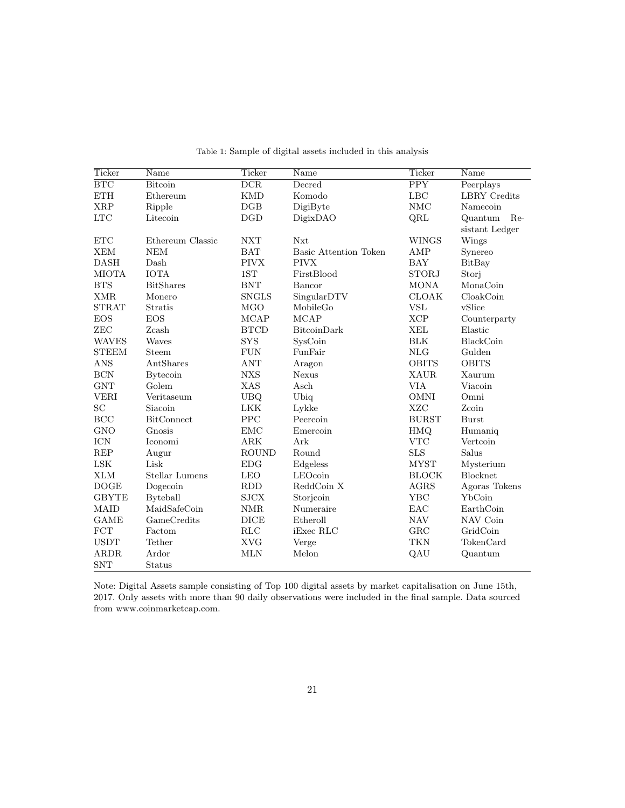<span id="page-20-0"></span>

| Ticker                     | Name                  | Ticker       | Name                         | Ticker       | Name                |
|----------------------------|-----------------------|--------------|------------------------------|--------------|---------------------|
| BTC                        | <b>Bitcoin</b>        | DCR          | Decred                       | <b>PPY</b>   | Peerplays           |
| $\operatorname{ETH}$       | Ethereum              | <b>KMD</b>   | Komodo                       | ${\rm LBC}$  | <b>LBRY</b> Credits |
| <b>XRP</b>                 | Ripple                | DGB          | DigiByte                     | NMC          | Namecoin            |
| <b>LTC</b>                 | Litecoin              | DGD          | DigixDAO                     | QRL          | Quantum<br>$Re-$    |
|                            |                       |              |                              |              | sistant Ledger      |
| $\operatorname{ETC}$       | Ethereum Classic      | <b>NXT</b>   | <b>Nxt</b>                   | WINGS        | Wings               |
| <b>XEM</b>                 | <b>NEM</b>            | <b>BAT</b>   | <b>Basic Attention Token</b> | AMP          | Synereo             |
| <b>DASH</b>                | Dash                  | <b>PIVX</b>  | <b>PIVX</b>                  | <b>BAY</b>   | BitBay              |
| <b>MIOTA</b>               | <b>IOTA</b>           | 1ST          | FirstBlood                   | <b>STORJ</b> | Storj               |
| <b>BTS</b>                 | <b>BitShares</b>      | <b>BNT</b>   | Bancor                       | <b>MONA</b>  | MonaCoin            |
| <b>XMR</b>                 | Monero                | <b>SNGLS</b> | SingularDTV                  | <b>CLOAK</b> | CloakCoin           |
| <b>STRAT</b>               | <b>Stratis</b>        | <b>MGO</b>   | MobileGo                     | ${\rm VSL}$  | vSlice              |
| <b>EOS</b>                 | <b>EOS</b>            | <b>MCAP</b>  | <b>MCAP</b>                  | XCP          | Counterparty        |
| <b>ZEC</b>                 | Zcash                 | <b>BTCD</b>  | BitcoinDark                  | <b>XEL</b>   | Elastic             |
| <b>WAVES</b>               | Waves                 | <b>SYS</b>   | SysCoin                      | <b>BLK</b>   | BlackCoin           |
| <b>STEEM</b>               | Steem                 | <b>FUN</b>   | FunFair                      | <b>NLG</b>   | Gulden              |
| <b>ANS</b>                 | AntShares             | <b>ANT</b>   | Aragon                       | <b>OBITS</b> | <b>OBITS</b>        |
| <b>BCN</b>                 | Bytecoin              | <b>NXS</b>   | Nexus                        | <b>XAUR</b>  | Xaurum              |
| <b>GNT</b>                 | Golem                 | XAS          | Asch                         | <b>VIA</b>   | Viacoin             |
| <b>VERI</b>                | Veritaseum            | <b>UBQ</b>   | Ubiq                         | <b>OMNI</b>  | Omni                |
| $\ensuremath{\mathrm{SC}}$ | Siacoin               | <b>LKK</b>   | Lykke                        | <b>XZC</b>   | Zcoin               |
| BCC                        | <b>BitConnect</b>     | <b>PPC</b>   | Peercoin                     | <b>BURST</b> | <b>Burst</b>        |
| <b>GNO</b>                 | Gnosis                | <b>EMC</b>   | Emercoin                     | <b>HMQ</b>   | Humaniq             |
| ICN                        | Iconomi               | ARK          | Ark                          | <b>VTC</b>   | Vertcoin            |
| REP                        | Augur                 | <b>ROUND</b> | Round                        | ${\rm SLS}$  | Salus               |
| LSK                        | Lisk                  | <b>EDG</b>   | Edgeless                     | <b>MYST</b>  | Mysterium           |
| <b>XLM</b>                 | <b>Stellar Lumens</b> | $\rm LEO$    | LEOcoin                      | <b>BLOCK</b> | <b>Blocknet</b>     |
| DOGE                       | Dogecoin              | <b>RDD</b>   | ReddCoin X                   | <b>AGRS</b>  | Agoras Tokens       |
| <b>GBYTE</b>               | <b>Byteball</b>       | <b>SJCX</b>  | Storjcoin                    | <b>YBC</b>   | YbCoin              |
| <b>MAID</b>                | MaidSafeCoin          | <b>NMR</b>   | Numeraire                    | <b>EAC</b>   | EarthCoin           |
| <b>GAME</b>                | GameCredits           | <b>DICE</b>  | Etheroll                     | <b>NAV</b>   | NAV Coin            |
| $\operatorname{FCT}$       | Factom                | RLC          | iExec RLC                    | ${\rm GRC}$  | GridCoin            |
| <b>USDT</b>                | Tether                | <b>XVG</b>   | Verge                        | <b>TKN</b>   | TokenCard           |
| <b>ARDR</b>                | Ardor                 | <b>MLN</b>   | Melon                        | QAU          | Quantum             |
| SNT                        | Status                |              |                              |              |                     |

Table 1: Sample of digital assets included in this analysis

Note: Digital Assets sample consisting of Top 100 digital assets by market capitalisation on June 15th, 2017. Only assets with more than 90 daily observations were included in the final sample. Data sourced from www.coinmarketcap.com.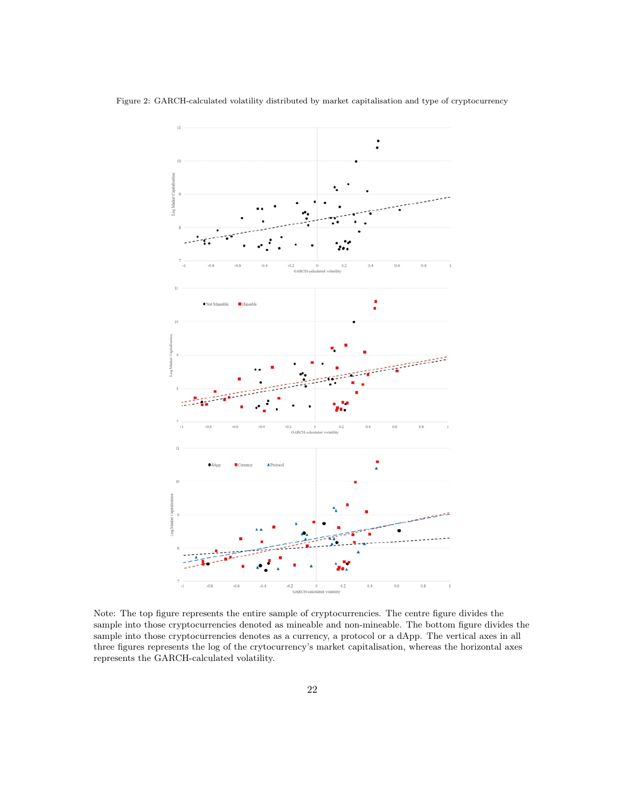

<span id="page-21-0"></span>Figure 2: GARCH-calculated volatility distributed by market capitalisation and type of cryptocurrency

Note: The top figure represents the entire sample of cryptocurrencies. The centre figure divides the sample into those cryptocurrencies denoted as mineable and non-mineable. The bottom figure divides the sample into those cryptocurrencies denotes as a currency, a protocol or a dApp. The vertical axes in all three figures represents the log of the crytocurrency's market capitalisation, whereas the horizontal axes represents the GARCH-calculated volatility.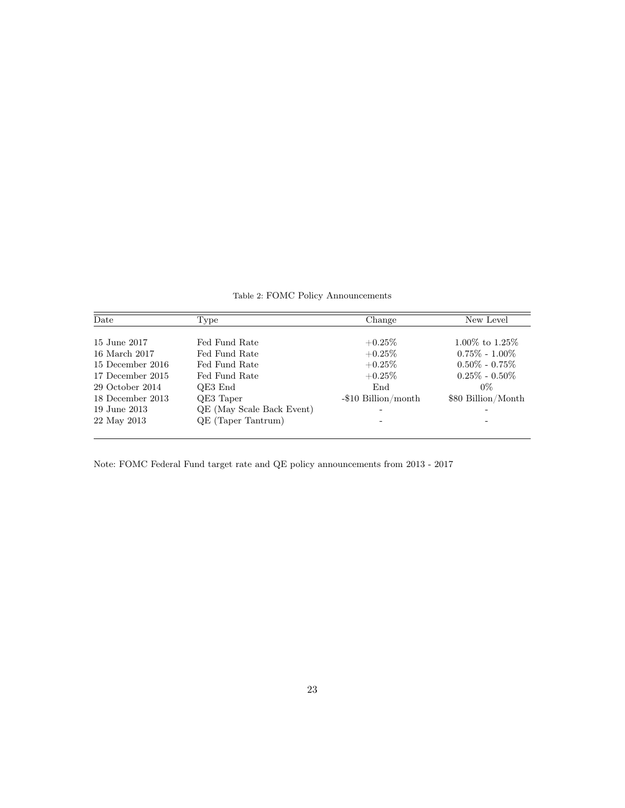Table 2: FOMC Policy Announcements

<span id="page-22-0"></span>

| Date             | Type                      | Change                | New Level            |
|------------------|---------------------------|-----------------------|----------------------|
|                  |                           |                       |                      |
| 15 June 2017     | Fed Fund Rate             | $+0.25\%$             | $1.00\%$ to $1.25\%$ |
| 16 March 2017    | Fed Fund Rate             | $+0.25\%$             | $0.75\% - 1.00\%$    |
| 15 December 2016 | Fed Fund Rate             | $+0.25\%$             | $0.50\% - 0.75\%$    |
| 17 December 2015 | Fed Fund Rate             | $+0.25\%$             | $0.25\% - 0.50\%$    |
| 29 October 2014  | QE3 End                   | End                   | $0\%$                |
| 18 December 2013 | QE3 Taper                 | $-\$10$ Billion/month | \$80 Billion/Month   |
| 19 June 2013     | QE (May Scale Back Event) |                       |                      |
| 22 May 2013      | QE (Taper Tantrum)        |                       |                      |

Note: FOMC Federal Fund target rate and QE policy announcements from 2013 - 2017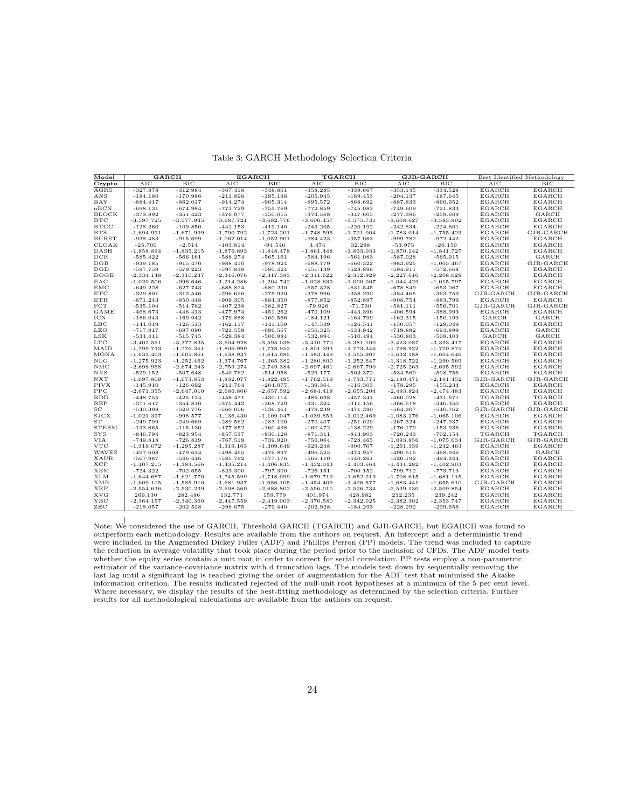<span id="page-23-0"></span>

| Model               |                            | <b>GARCH</b>               |                            | <b>EGARCH</b>              |                            | <b>TGARCH</b>              |                            | GJR-GARCH                  |                         | Best Identified Methodology |  |
|---------------------|----------------------------|----------------------------|----------------------------|----------------------------|----------------------------|----------------------------|----------------------------|----------------------------|-------------------------|-----------------------------|--|
| Crypto              | AIC                        | $_{\rm BIC}$               | AIC                        | $_{\rm BIC}$               | AIC                        | $_{\rm BIC}$               | AIC                        | $_{\rm BIC}$               | AIC                     | $_{\rm BIC}$                |  |
| <b>AGRS</b>         | $-327.878$                 | $-312.984$                 | $-367.418$                 | $-348.801$                 | $-358.285$                 | $-339.667$                 | $-353.145$                 | $-334.528$                 | <b>EGARCH</b>           | <b>EGARCH</b>               |  |
| ANS                 | $-184.180$                 | $-170.986$                 | $-211.898$                 | $-195.196$                 | $-205.945$                 | $-189.453$                 | $-204.137$                 | $-187.645$                 | <b>EGARCH</b>           | <b>EGARCH</b>               |  |
| BAY                 | $-884.417$                 | $-862.017$                 | $-914.274$                 | $-905.314$                 | $-895.572$                 | $-868.692$                 | $-887.833$                 | $-860.952$                 | EGARCH                  | EGARCH                      |  |
| nBCN                | $-698.131$                 | $-674.984$                 | $-773.729$                 | $-755.769$                 | $-772.859$                 | $-745.083$                 | $-749.609$                 | $-721.833$                 | EGARCH                  | <b>EGARCH</b>               |  |
| BLOCK               | $-373.892$                 | $-351.423$                 | $-376.977$                 | $-350.015$                 | $-374.568$                 | $-347.605$                 | $-277.386$                 | $-259.609$                 | <b>EGARCH</b>           | GARCH                       |  |
| <b>BTC</b>          | $-3,597.725$               | $-3,577.945$               | $-3,687.721$               | $-3,682.776$               | $-3,600.457$               | $-3,575.731$               | $-3,608.627$               | $-3,583.902$               | <b>EGARCH</b>           | <b>EGARCH</b>               |  |
| <b>BTCC</b>         | $-128.260$                 | $-109.850$                 | $-442.153$                 | $-419.140$                 | $-243.205$                 | $-220.192$                 | $-242.834$                 | $-224.601$                 | <b>EGARCH</b>           | <b>EGARCH</b>               |  |
| <b>BTS</b>          | $-1,694.991$               | $-1,671.999$               | $-1,790.792$               | $-1,723.201$               | $-1,748.595$               | $-1,721.004$               | $-1,783.014$               | $-1,755.423$               | EGARCH                  | GJR-GARCH                   |  |
| <b>BURST</b>        | $-938.483$                 | $-915.699$                 | $-1,062.014$               | $-1,052.901$               | $-984.423$                 | $-957.083$                 | $-999.782$                 | $-972.442$                 | <b>EGARCH</b>           | <b>EGARCH</b>               |  |
| CLOAK               | $-25.700$                  | $-2.514$                   | $-103.814$                 | $-94.540$                  | 4.474                      | 32.298                     | $-53.973$                  | $-26.150$                  | <b>EGARCH</b>           | <b>EGARCH</b>               |  |
| DASH                | $-1,858.894$               | $-1,835.215$               | $-1,876.893$               | $-1,848.478$               | $-1,861.448$               | $-1,833.033$               | $-1,870.142$               | $-1,841.727$               | <b>EGARCH</b>           | EGARCH                      |  |
| $_{\rm DCR}$        | $-585.422$                 | $-566.161$                 | $-588.274$                 | $-565.161$                 | $-584.196$                 | $-561.083$                 | $-587.028$                 | $-565.915$                 | EGARCH                  | GARCH                       |  |
| DGB                 | $-939.185$                 | $-915.470$                 | $-988.410$                 | $-978.924$                 | $-688.779$                 | $-660.322$                 | $-983.925$                 | $-1,005.467$               | EGARCH                  | GJR-GARCH                   |  |
| DGD                 | $-597.759$                 | $-579.223$                 | $-597.838$                 | $-580.424$                 | $-551.139$                 | $-528.896$                 | $-594.911$                 | $-572.668$                 | <b>EGARCH</b>           | <b>EGARCH</b>               |  |
| DOGE                | $-2,334.148$               | $-2,310.237$               | $-2,346.076$               | $-2,317.383$               | $-2,341.622$               | $-2,312.929$               | $-2,227.610$               | $-2,208.629$               | EGARCH                  | EGARCH                      |  |
| EAC                 | $-1,020.506$               | $-996.646$                 | $-1, 214.286$              | $-1, 204.742$              | $-1,028.639$               | $-1,000.007$               | $-1,044.429$               | $-1,015.797$               | <b>EGARCH</b>           | EGARCH                      |  |
| EMC                 | $-649.228$                 | $-627.743$                 | $-688.824$                 | $-680.230$                 | $-657.328$                 | $-631.545$                 | $-678.849$                 | $-653.067$                 | <b>EGARCH</b>           | <b>EGARCH</b>               |  |
| ETC                 | $-329.801$                 | $-312.546$                 | $-296.626$                 | $-275.920$                 | $-378.996$                 | $-358.290$                 | $-384.465$                 | $-363.759$                 | GJR-GARCH               | GJR-GARCH                   |  |
| ETH                 | $-871.243$                 | $-850.448$                 | $-909.305$                 | $-884.350$                 | $-877.852$                 | $-852.897$                 | $-908.754$                 | $-883.799$                 | EGARCH                  | EGARCH                      |  |
| FCT                 | $-535.104$                 | $-514.762$                 | $-407.238$                 | $-382.827$                 | $-79.926$                  | $-71.790$                  | $-581.111$                 | $-556.701$                 | GJR-GARCH               | GJR-GARCH                   |  |
| GAME                | $-468.673$                 | $-446.413$                 | $-477.974$                 | $-451.262$                 | $-470.109$                 | $-443.396$                 | $-406.594$                 | $-388.993$                 | <b>EGARCH</b>           | EGARCH                      |  |
| ICN                 | $-186.043$                 | $-169.942$                 | $-179.888$                 | $-160.566$                 | $-184.121$                 | $-164.799$                 | $-162.315$                 | $-150.193$                 | GARCH                   | GARCH                       |  |
| LBC                 | $-144.019$                 | $-126.513$                 | $-162.117$                 | $-141.109$                 | $-147.549$                 | $-126.541$                 | $-150.057$                 | $-129.049$                 | <b>EGARCH</b>           | <b>EGARCH</b>               |  |
| LEO                 | $-717.917$                 | $-697.090$                 | $-721.559$                 | $-696.567$                 | $-650.325$                 | $-633.942$                 | $-719.892$                 | $-694.899$                 | <b>EGARCH</b>           | GARCH                       |  |
| LSK                 | $-534.411$                 | $-515.745$                 | $-529.384$                 | $-506.984$                 | $-532.894$                 | $-510.494$                 | $-530.803$                 | $-508.403$                 | GARCH                   | GARCH                       |  |
| LTC                 | $-3,402.561$               | $-3,377.835$               | $-3,604.928$               | $-3,595.038$               | $-3,410.770$               | $-3,381.100$               | $-3,423.087$               | $-3,393.417$               | EGARCH                  | EGARCH                      |  |
| MAID                | $-1,799.733$               | $-1,776.361$               | $-1,806.999$               | $-1,778.952$               | $-1,801.393$               | $-1,773.346$               | $-1,798.922$               | $-1,770.875$               | EGARCH                  | <b>EGARCH</b>               |  |
| MONA                | $-1,633.403$               | $-1,605.861$               | $-1,638.937$               | $-1,615.985$               | $-1,583.449$               | $-1,555.907$               | $-1,632.188$               | $-1,604.646$               | EGARCH                  | <b>EGARCH</b>               |  |
| NLG                 | $-1,275.923$               | $-1,252.462$               | $-1,374.767$               | $-1,365.382$               | $-1,280.800$               | $-1,252.647$               | $-1,318.722$               | $-1,290.569$               | EGARCH                  | EGARCH                      |  |
| NMC                 | $-2,698.968$               | $-2,674.243$               | $-2,759.274$               | $-2,749.384$               | $-2,697.461$               | $-2,667.790$               | $-2,725.263$               | $-2,695.592$               | EGARCH                  | EGARCH                      |  |
| NXS                 | $-529.152$                 | $-507.648$                 | $-540.762$                 | $-514.958$                 | $-529.177$                 | $-503.372$                 | $-534.560$                 | $-508.756$                 | <b>EGARCH</b>           | <b>EGARCH</b>               |  |
| NXT                 | $-1,697.809$               | $-1,673.853$               | $-1,832.077$               | $-1,822.495$               | $-1,762.519$               | $-1,733.771$               | $-2,180.471$               | $-2,161.452$               | GJR-GARCH               | GJR-GARCH                   |  |
| PIVX                | $-145.910$                 | $-126.692$                 | $-211.764$                 | $-204.077$                 | $-139.364$                 | $-116.303$                 | $-178.295$                 | $-155.234$                 | EGARCH                  | EGARCH                      |  |
| $_{\rm PPC}$        | $-2,671.355$               | $-2,647.010$               | $-2,686.806$               | $-2,657.592$               | $-2,684.418$               | $-2,655.204$               | $-2,493.824$               | $-2,474.483$               | <b>EGARCH</b>           | <b>EGARCH</b>               |  |
| <b>RDD</b>          | $-448.755$                 | $-425.124$                 | $-458.471$                 | $-430.114$                 | $-485.698$                 | $-457.341$                 | $-460.028$                 | $-431.671$                 | TGARCH                  | TGARCH                      |  |
| REP                 | $-371.617$                 | $-354.810$                 | $-375.442$                 | $-368.720$                 | $-331.324$                 | $-311.156$                 | $-366.518$                 | $-346.350$                 | <b>EGARCH</b>           | <b>EGARCH</b>               |  |
| $_{\rm SC}$         | $-540.398$                 | $-520.776$                 | $-560.006$                 | $-536.461$                 | $-479.239$                 | $-471.390$                 | $-564.307$                 | $-540.762$                 | GJR-GARCH               | GJR-GARCH                   |  |
| SJCX                | $-1,021.397$               | $-998.577$                 | $-1, 136.430$              | $-1.109.047$               | $-1,039.853$               | $-1,012.469$               | $-1,083.176$               | $-1,065.106$               | <b>EGARCH</b>           | <b>EGARCH</b>               |  |
| $_{\rm ST}$         | $-249.799$                 | $-240.669$                 | $-289.562$                 | $-283.100$                 | $-270.407$                 | $-251.020$                 | $-267.324$                 | $-247.937$                 | EGARCH                  | EGARCH                      |  |
| STEEM               | $-133.665$                 | $-115.130$                 | $-177.852$                 | $-160.438$                 | $-160.472$                 | $-138.229$                 | $-176.179$                 | $-153.936$                 | EGARCH                  | <b>EGARCH</b>               |  |
| SYS                 | $-846.794$                 | $-823.954$                 | $-857.537$                 | $-830.128$                 | $-871.311$                 | $-843.903$                 | $-720.243$                 | $-702.154$                 | TGARCH                  | TGARCH                      |  |
| <b>VIA</b>          | $-749.818$                 | $-726.819$                 | $-767.519$                 | $-739.920$                 | $-756.064$                 | $-728.465$                 | $-1,093.856$               | $-1,075.634$               | GJR-GARCH               | GJR-GARCH                   |  |
| <b>VTC</b>          | $-1,319.072$               | $-1,295.287$               | $-1,319.163$               | $-1,309.649$               | $-929.248$                 | $-900.707$                 | $-1,261.339$               | $-1,242.463$               | <b>EGARCH</b>           | EGARCH                      |  |
| <b>WAVES</b>        | $-497.608$                 | $-479.634$                 | $-498.465$                 | $-476.897$                 | $-496.525$                 | $-474.957$                 | $-490.515$                 | $-468.946$                 | EGARCH                  | GARCH                       |  |
| XAUR                | $-567.987$                 | $-546.446$                 | $-585.792$                 | $-577.176$                 | $-566.110$                 | $-540.261$                 | $-520.192$                 | $-494.344$                 | <b>EGARCH</b>           | <b>EGARCH</b>               |  |
| XCP                 | $-1,407.215$               | $-1,383.566$               | $-1,435.214$               | $-1,406.835$               | $-1,432.043$               | $-1,403.664$               | $-1,431.282$               | $-1,402.903$               | <b>EGARCH</b>           | <b>EGARCH</b>               |  |
| XEM                 | $-724.322$                 | $-702.655$                 | $-823.300$                 | $-797.300$                 | $-726.151$                 | $-700.152$                 | $-799.712$                 | $-773.713$                 | EGARCH                  | EGARCH                      |  |
| XLM                 | $-1,644.687$               | $-1,621.770$               | $-1,745.599$               | $-1,718.099$               | $-1,679.719$               | $-1,652.219$               | $-1,708.615$               | $-1,681.115$               | <b>EGARCH</b>           | EGARCH                      |  |
| <b>XMR</b>          | $-1,609.105$               | $-1,585.910$               | $-1,681.937$               | $-1,656.105$               | $-1,454.409$               | $-1,426.577$               | $-1,683.441$               | $-1,655.610$               | GJR-GARCH               | <b>EGARCH</b>               |  |
| <b>XRP</b>          | $-2,554.636$               | $-2,530.239$               | $-2,698.560$               | $-2,688.802$               | $-2,556.010$               | $-2,526.734$               | $-2,539.130$               | $-2,509.854$               | EGARCH                  | <b>EGARCH</b>               |  |
| XVG                 | 269.130                    | 282.486                    | 132.771                    | 159.779                    | 401.974                    | 428.982                    | 212.235                    | 239.242                    | <b>EGARCH</b>           | <b>EGARCH</b>               |  |
| YBC<br>$_{\rm ZEC}$ | $-2,364.157$<br>$-218.057$ | $-2,340.360$<br>$-202.528$ | $-2,447.559$<br>$-298.075$ | $-2,419.003$<br>$-279.440$ | $-2,370.580$<br>$-202.928$ | $-2,342.025$<br>$-184.293$ | $-2,382.302$<br>$-228.292$ | $-2,353.747$<br>$-209.656$ | <b>EGARCH</b><br>EGARCH | <b>EGARCH</b><br>EGARCH     |  |
|                     |                            |                            |                            |                            |                            |                            |                            |                            |                         |                             |  |

Table 3: GARCH Methodology Selection Criteria

Note: We considered the use of GARCH, Threshold GARCH (TGARCH) and GJR-GARCH, but EGARCH was found to outperform each methodology. Results are available from the authors on request. An intercept and a deterministic trend<br>were included in the Augmented Dickey Fuller (ADF) and Phillips Perron (PP) models. The trend was inclu the reduction in average volatility that took place during the period prior to the inclusion of CFDs. The ADF model tests whether the equity series contain a unit root in order to correct for serial correlation. PP tests employ a non-parametric estimator of the variance-covariance matrix with d truncation lags. The models test down by sequentially removing the last lag until a significant lag is reached giving the order of augmentation for the ADF test that minimised the Akaike information criterion. The results indicated rejected of the null-unit root hypotheses at a minimum of the 5 per cent level. Where necessary, we display the results of the best-fitting methodology as determined by the selection criteria. Further results for all methodological calculations are available from the authors on request.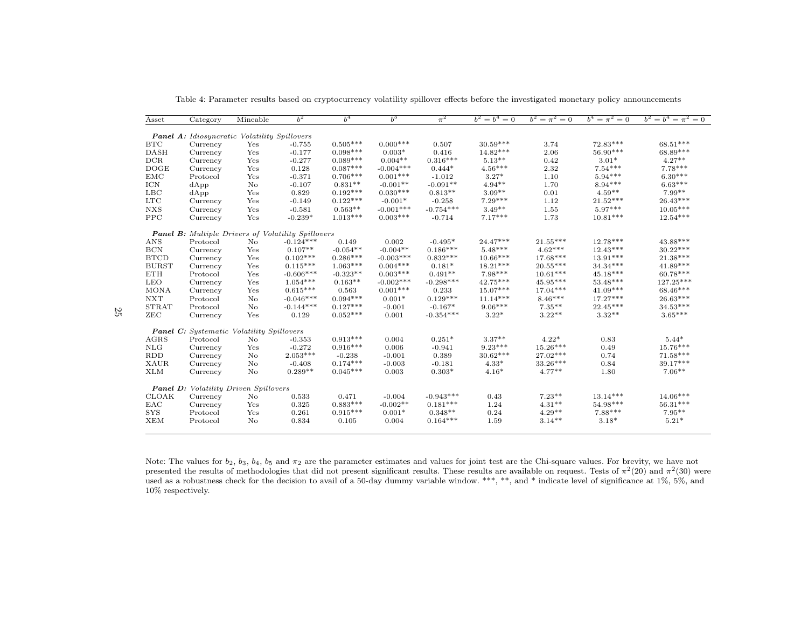| Asset        | Category                                                  | Mineable | $b^2$       | b <sup>4</sup> | $h^5$       | $\pi^2$     | $b^2 = b^4 = 0$ | $b^2 = \pi^2 = 0$ | $b^4 = \pi^2 = 0$ | $b^2 = b^4 = \pi^2 = 0$ |  |
|--------------|-----------------------------------------------------------|----------|-------------|----------------|-------------|-------------|-----------------|-------------------|-------------------|-------------------------|--|
|              | <b>Panel A:</b> Idiosyncratic Volatility Spillovers       |          |             |                |             |             |                 |                   |                   |                         |  |
| <b>BTC</b>   | Currency                                                  | Yes      | $-0.755$    | $0.505***$     | $0.000***$  | 0.507       | $30.59***$      | 3.74              | 72.83***          | 68.51***                |  |
| <b>DASH</b>  | Currency                                                  | Yes      | $-0.177$    | $0.098***$     | $0.003*$    | 0.416       | $14.82***$      | 2.06              | $56.90***$        | 68.89***                |  |
| <b>DCR</b>   | Currency                                                  | Yes      | $-0.277$    | $0.089***$     | $0.004**$   | $0.316***$  | $5.13**$        | 0.42              | $3.01*$           | $4.27**$                |  |
| <b>DOGE</b>  | Currency                                                  | Yes      | 0.128       | $0.087***$     | $-0.004***$ | $0.444*$    | $4.56***$       | 2.32              | $7.54***$         | $7.78***$               |  |
| <b>EMC</b>   | Protocol                                                  | Yes      | $-0.371$    | $0.706***$     | $0.001***$  | $-1.012$    | $3.27*$         | 1.10              | $5.94***$         | $6.30***$               |  |
| ICN          | dApp                                                      | No       | $-0.107$    | $0.831**$      | $-0.001**$  | $-0.091**$  | $4.94**$        | 1.70              | $8.94***$         | $6.63***$               |  |
| <b>LBC</b>   | dApp                                                      | Yes      | 0.829       | $0.192***$     | $0.030***$  | $0.813**$   | $3.09**$        | 0.01              | $4.59**$          | $7.99**$                |  |
| <b>LTC</b>   | Currency                                                  | Yes      | $-0.149$    | $0.122***$     | $-0.001*$   | $-0.258$    | $7.29***$       | 1.12              | $21.52***$        | $26.43***$              |  |
| <b>NXS</b>   | Currency                                                  | Yes      | $-0.581$    | $0.563**$      | $-0.001***$ | $-0.754***$ | $3.49**$        | 1.55              | $5.97***$         | $10.05***$              |  |
| PPC          | Currency                                                  | Yes      | $-0.239*$   | $1.013***$     | $0.003***$  | $-0.714$    | $7.17***$       | 1.73              | $10.81***$        | $12.54***$              |  |
|              | <b>Panel B:</b> Multiple Drivers of Volatility Spillovers |          |             |                |             |             |                 |                   |                   |                         |  |
| ANS          | Protocol                                                  | No       | $-0.124***$ | 0.149          | 0.002       | $-0.495*$   | $24.47***$      | $21.55***$        | 12.78***          | 43.88***                |  |
| <b>BCN</b>   | Currency                                                  | Yes      | $0.107**$   | $-0.054**$     | $-0.004**$  | $0.186***$  | $5.48***$       | $4.62***$         | $12.43***$        | $30.22***$              |  |
| <b>BTCD</b>  | Currency                                                  | Yes      | $0.102***$  | $0.286***$     | $-0.003***$ | $0.832***$  | $10.66***$      | 17.68***          | $13.91***$        | $21.38***$              |  |
| <b>BURST</b> | Currency                                                  | Yes      | $0.115***$  | $1.063***$     | $0.004***$  | $0.181*$    | $18.21***$      | $20.55***$        | $34.34***$        | $41.89***$              |  |
| <b>ETH</b>   | Protocol                                                  | Yes      | $-0.606***$ | $-0.323**$     | $0.003***$  | $0.491**$   | $7.98***$       | $10.61***$        | $45.18***$        | 60.78***                |  |
| <b>LEO</b>   | Currency                                                  | Yes      | $1.054***$  | $0.163**$      | $-0.002***$ | $-0.298***$ | 42.75***        | $45.95***$        | $53.48***$        | 127.25***               |  |
| <b>MONA</b>  | Currency                                                  | Yes      | $0.615***$  | 0.563          | $0.001***$  | 0.233       | $15.07***$      | $17.04***$        | $41.09***$        | 68.46***                |  |
| <b>NXT</b>   | Protocol                                                  | $\rm No$ | $-0.046***$ | $0.094***$     | $0.001*$    | $0.129***$  | $11.14***$      | $8.46***$         | $17.27***$        | $26.63***$              |  |
| <b>STRAT</b> | Protocol                                                  | No       | $-0.144***$ | $0.127***$     | $-0.001$    | $-0.167*$   | $9.06***$       | $7.35***$         | $22.45***$        | $34.53***$              |  |
| ZEC          | Currency                                                  | Yes      | 0.129       | $0.052***$     | 0.001       | $-0.354***$ | $3.22*$         | $3.22**$          | $3.32**$          | $3.65***$               |  |
|              | <b>Panel C:</b> Systematic Volatility Spillovers          |          |             |                |             |             |                 |                   |                   |                         |  |
| AGRS         | Protocol                                                  | No       | $-0.353$    | $0.913***$     | 0.004       | $0.251*$    | $3.37**$        | $4.22*$           | 0.83              | $5.44*$                 |  |
| <b>NLG</b>   | Currency                                                  | Yes      | $-0.272$    | $0.916***$     | 0.006       | $-0.941$    | $9.23***$       | $15.26***$        | 0.49              | $15.76***$              |  |
| <b>RDD</b>   | Currency                                                  | No       | $2.053***$  | $-0.238$       | $-0.001$    | 0.389       | $30.62***$      | 27.02***          | 0.74              | $71.58***$              |  |
| <b>XAUR</b>  | Currency                                                  | No       | $-0.408$    | $0.174***$     | $-0.003$    | $-0.181$    | $4.33*$         | 33.26***          | 0.84              | $39.17***$              |  |
| <b>XLM</b>   | Currency                                                  | No       | $0.289**$   | $0.045***$     | 0.003       | $0.303*$    | $4.16*$         | $4.77**$          | 1.80              | $7.06**$                |  |
|              | <b>Panel D:</b> Volatility Driven Spillovers              |          |             |                |             |             |                 |                   |                   |                         |  |
| <b>CLOAK</b> | Currency                                                  | No       | 0.533       | 0.471          | $-0.004$    | $-0.943***$ | 0.43            | $7.23**$          | $13.14***$        | $14.06***$              |  |
| <b>EAC</b>   | Currency                                                  | Yes      | 0.325       | $0.883***$     | $-0.002**$  | $0.181***$  | 1.24            | $4.31**$          | 54.98***          | 56.31***                |  |
| <b>SYS</b>   | Protocol                                                  | Yes      | 0.261       | $0.915***$     | $0.001*$    | $0.348**$   | 0.24            | $4.29**$          | $7.88***$         | $7.95**$                |  |
| <b>XEM</b>   | Protocol                                                  | No       | 0.834       | 0.105          | 0.004       | $0.164***$  | 1.59            | $3.14***$         | $3.18*$           | $5.21*$                 |  |
|              |                                                           |          |             |                |             |             |                 |                   |                   |                         |  |

Table 4: Parameter results based on cryptocurrency volatility spillover effects before the investigated monetary policy announcements

<span id="page-24-0"></span>Note: The values for  $b_2$ ,  $b_3$ ,  $b_4$ ,  $b_5$  and  $\pi_2$  are the parameter estimates and values for joint test are the Chi-square values. For brevity, we have not presented the results of methodologies that did not pres 10% respectively.

25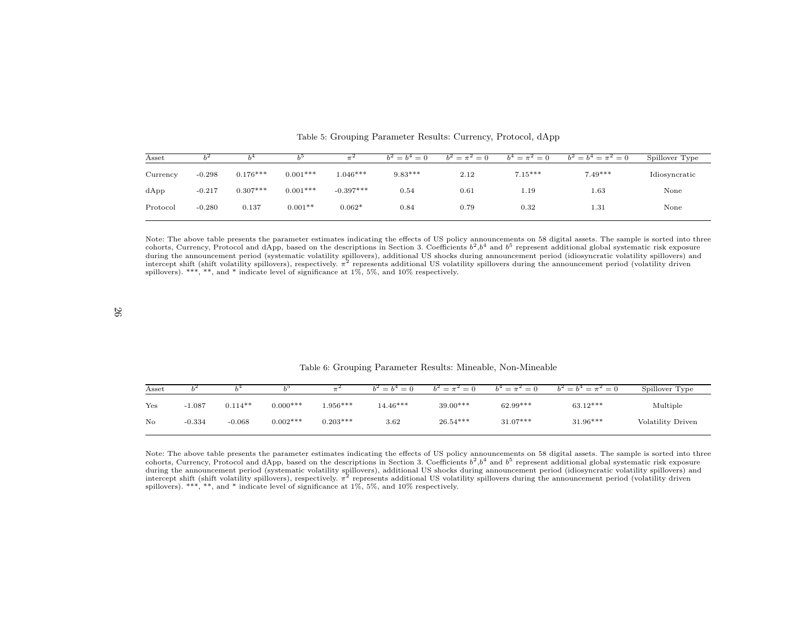| $\operatorname{Asset}$ |          |            |            |             | $= b4$<br>$= 0$<br>$h^2$ | $= 0$<br>$b^2$<br>$= \pi^2$ | $\pi = \pi^2 = 0$<br>$b^*$ | $b^2 = b^4 = \pi^2 = 0$ | Spillover Type |
|------------------------|----------|------------|------------|-------------|--------------------------|-----------------------------|----------------------------|-------------------------|----------------|
| Currency               | $-0.298$ | $0.176***$ | $0.001***$ | $.046***$   | $9.83***$                | 2.12                        | $7.15***$                  | $7.49***$               | Idiosyncratic  |
| dApp                   | $-0.217$ | $0.307***$ | $0.001***$ | $-0.397***$ | 0.54                     | 0.61                        | 1.19                       | 1.63                    | None           |
| Protocol               | $-0.280$ | 0.137      | $0.001**$  | $0.062*$    | 0.84                     | 0.79                        | 0.32                       | 1.31                    | None           |

Table 5: Grouping Parameter Results: Currency, Protocol, dApp

Note: The above table presents the parameter estimates indicating the effects of US policy announcements on 58 digital assets. The sample is sorted into threecohorts, Currency, Protocol and dApp, based on the descriptions in Section 3. Coefficients  $b^2$ ,  $b^4$  and  $b^5$  represent additional global systematic risk exposure during the announcement period (systematic volatility spillovers), additional US shocks during announcement period (idiosyncratic volatility spillovers) and intercept shift (shift volatility spillovers), respectively.  $\pi^2$  represents additional US volatility spillovers during the announcement period (volatility driven spillovers). \*\*\*, \*\*, and \* indicate level of significance at  $1\%$ , 5%, and 10% respectively.

## <span id="page-25-1"></span>26

| Asset |          |           |            | $\pi^*$    | $b^2 = b^4 = 0$ | $b^2 = \pi^2 = 0$ | $b^4 = \pi^2 = 0$ | $b^2 = b^4 = \pi^2 = 0$ | Spillover Type    |
|-------|----------|-----------|------------|------------|-----------------|-------------------|-------------------|-------------------------|-------------------|
| Yes   | $-1.087$ | $0.114**$ | $0.000***$ | $.956***$  | $14.46***$      | $39.00***$        | $62.99***$        | 63.12***                | Multiple          |
| No    | $-0.334$ | $-0.068$  | $0.002***$ | $0.203***$ | 3.62            | $26.54***$        | $31.07***$        | $31.96***$              | Volatility Driven |

Table 6: Grouping Parameter Results: Mineable, Non-Mineable

<span id="page-25-0"></span>Note: The above table presents the parameter estimates indicating the effects of US policy announcements on 58 digital assets. The sample is sorted into threecohorts, Currency, Protocol and dApp, based on the descriptions in Section 3. Coefficients  $b^2$ , $b^4$  and  $b^5$  represent additional global systematic risk exposure during the announcement period (systematic volatility spillovers), additional US shocks during announcement period (idiosyncratic volatility spillovers) and intercept shift (shift volatility spillovers), respectively.  $\pi$ spillovers). \*\*\*, \*\*, and \* indicate level of significance at 1%, 5%, and 10% respectively.